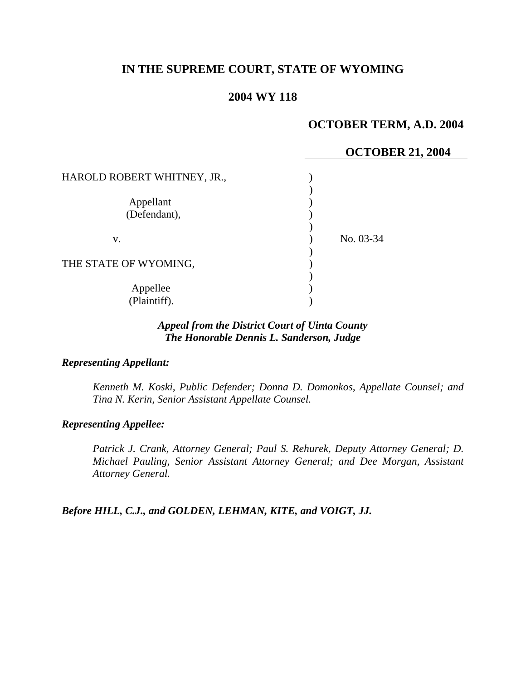## **IN THE SUPREME COURT, STATE OF WYOMING**

### **2004 WY 118**

## **OCTOBER TERM, A.D. 2004**

# **OCTOBER 21, 2004**  HAROLD ROBERT WHITNEY, JR.,  $\qquad \qquad$  )  $\lambda$ Appellant (1) (Defendant),  $($ ) ) v. ) No. 03-34 ) THE STATE OF WYOMING, ) Appellee (b) (Plaintiff). )

### *Appeal from the District Court of Uinta County The Honorable Dennis L. Sanderson, Judge*

#### *Representing Appellant:*

*Kenneth M. Koski, Public Defender; Donna D. Domonkos, Appellate Counsel; and Tina N. Kerin, Senior Assistant Appellate Counsel.* 

#### *Representing Appellee:*

*Patrick J. Crank, Attorney General; Paul S. Rehurek, Deputy Attorney General; D. Michael Pauling, Senior Assistant Attorney General; and Dee Morgan, Assistant Attorney General.* 

*Before HILL, C.J., and GOLDEN, LEHMAN, KITE, and VOIGT, JJ.*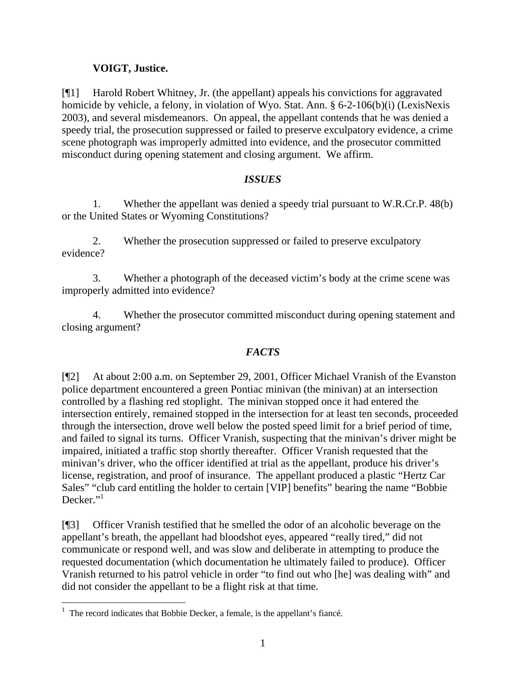## **VOIGT, Justice.**

[¶1] Harold Robert Whitney, Jr. (the appellant) appeals his convictions for aggravated homicide by vehicle, a felony, in violation of Wyo. Stat. Ann. § 6-2-106(b)(i) (LexisNexis 2003), and several misdemeanors. On appeal, the appellant contends that he was denied a speedy trial, the prosecution suppressed or failed to preserve exculpatory evidence, a crime scene photograph was improperly admitted into evidence, and the prosecutor committed misconduct during opening statement and closing argument. We affirm.

## *ISSUES*

1. Whether the appellant was denied a speedy trial pursuant to W.R.Cr.P. 48(b) or the United States or Wyoming Constitutions?

2. Whether the prosecution suppressed or failed to preserve exculpatory evidence?

3. Whether a photograph of the deceased victim's body at the crime scene was improperly admitted into evidence?

4. Whether the prosecutor committed misconduct during opening statement and closing argument?

## *FACTS*

[¶2] At about 2:00 a.m. on September 29, 2001, Officer Michael Vranish of the Evanston police department encountered a green Pontiac minivan (the minivan) at an intersection controlled by a flashing red stoplight. The minivan stopped once it had entered the intersection entirely, remained stopped in the intersection for at least ten seconds, proceeded through the intersection, drove well below the posted speed limit for a brief period of time, and failed to signal its turns. Officer Vranish, suspecting that the minivan's driver might be impaired, initiated a traffic stop shortly thereafter. Officer Vranish requested that the minivan's driver, who the officer identified at trial as the appellant, produce his driver's license, registration, and proof of insurance. The appellant produced a plastic "Hertz Car Sales" "club card entitling the holder to certain [VIP] benefits" bearing the name "Bobbie Decker."

[¶3] Officer Vranish testified that he smelled the odor of an alcoholic beverage on the appellant's breath, the appellant had bloodshot eyes, appeared "really tired," did not communicate or respond well, and was slow and deliberate in attempting to produce the requested documentation (which documentation he ultimately failed to produce). Officer Vranish returned to his patrol vehicle in order "to find out who [he] was dealing with" and did not consider the appellant to be a flight risk at that time.

 $\frac{1}{1}$  The record indicates that Bobbie Decker, a female, is the appellant's fiancé.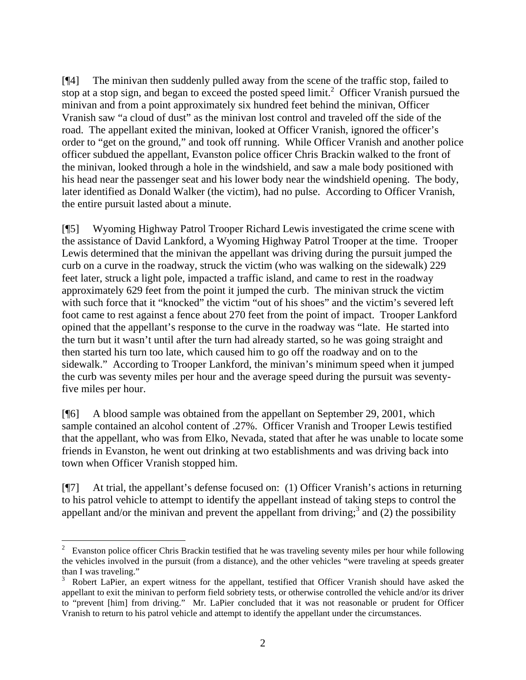[¶4] The minivan then suddenly pulled away from the scene of the traffic stop, failed to stop at a stop sign, and began to exceed the posted speed  $limit<sup>2</sup>$  Officer Vranish pursued the minivan and from a point approximately six hundred feet behind the minivan, Officer Vranish saw "a cloud of dust" as the minivan lost control and traveled off the side of the road. The appellant exited the minivan, looked at Officer Vranish, ignored the officer's order to "get on the ground," and took off running. While Officer Vranish and another police officer subdued the appellant, Evanston police officer Chris Brackin walked to the front of the minivan, looked through a hole in the windshield, and saw a male body positioned with his head near the passenger seat and his lower body near the windshield opening. The body, later identified as Donald Walker (the victim), had no pulse. According to Officer Vranish, the entire pursuit lasted about a minute.

[¶5] Wyoming Highway Patrol Trooper Richard Lewis investigated the crime scene with the assistance of David Lankford, a Wyoming Highway Patrol Trooper at the time. Trooper Lewis determined that the minivan the appellant was driving during the pursuit jumped the curb on a curve in the roadway, struck the victim (who was walking on the sidewalk) 229 feet later, struck a light pole, impacted a traffic island, and came to rest in the roadway approximately 629 feet from the point it jumped the curb. The minivan struck the victim with such force that it "knocked" the victim "out of his shoes" and the victim's severed left foot came to rest against a fence about 270 feet from the point of impact. Trooper Lankford opined that the appellant's response to the curve in the roadway was "late. He started into the turn but it wasn't until after the turn had already started, so he was going straight and then started his turn too late, which caused him to go off the roadway and on to the sidewalk." According to Trooper Lankford, the minivan's minimum speed when it jumped the curb was seventy miles per hour and the average speed during the pursuit was seventyfive miles per hour.

[¶6] A blood sample was obtained from the appellant on September 29, 2001, which sample contained an alcohol content of .27%. Officer Vranish and Trooper Lewis testified that the appellant, who was from Elko, Nevada, stated that after he was unable to locate some friends in Evanston, he went out drinking at two establishments and was driving back into town when Officer Vranish stopped him.

[¶7] At trial, the appellant's defense focused on: (1) Officer Vranish's actions in returning to his patrol vehicle to attempt to identify the appellant instead of taking steps to control the appellant and/or the minivan and prevent the appellant from driving;<sup>3</sup> and (2) the possibility

 $\frac{1}{2}$  Evanston police officer Chris Brackin testified that he was traveling seventy miles per hour while following the vehicles involved in the pursuit (from a distance), and the other vehicles "were traveling at speeds greater than I was traveling."

<sup>&</sup>lt;sup>3</sup> Robert LaPier, an expert witness for the appellant, testified that Officer Vranish should have asked the appellant to exit the minivan to perform field sobriety tests, or otherwise controlled the vehicle and/or its driver to "prevent [him] from driving." Mr. LaPier concluded that it was not reasonable or prudent for Officer Vranish to return to his patrol vehicle and attempt to identify the appellant under the circumstances.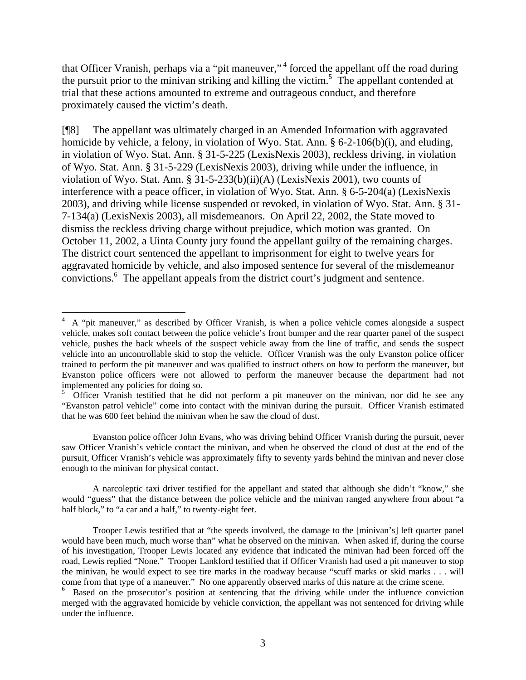that Officer Vranish, perhaps via a "pit maneuver,"<sup>4</sup> forced the appellant off the road during the pursuit prior to the minivan striking and killing the victim.<sup>5</sup> The appellant contended at trial that these actions amounted to extreme and outrageous conduct, and therefore proximately caused the victim's death.

[¶8] The appellant was ultimately charged in an Amended Information with aggravated homicide by vehicle, a felony, in violation of Wyo. Stat. Ann. § 6-2-106(b)(i), and eluding, in violation of Wyo. Stat. Ann. § 31-5-225 (LexisNexis 2003), reckless driving, in violation of Wyo. Stat. Ann. § 31-5-229 (LexisNexis 2003), driving while under the influence, in violation of Wyo. Stat. Ann. § 31-5-233(b)(ii)(A) (LexisNexis 2001), two counts of interference with a peace officer, in violation of Wyo. Stat. Ann. § 6-5-204(a) (LexisNexis 2003), and driving while license suspended or revoked, in violation of Wyo. Stat. Ann. § 31- 7-134(a) (LexisNexis 2003), all misdemeanors. On April 22, 2002, the State moved to dismiss the reckless driving charge without prejudice, which motion was granted. On October 11, 2002, a Uinta County jury found the appellant guilty of the remaining charges. The district court sentenced the appellant to imprisonment for eight to twelve years for aggravated homicide by vehicle, and also imposed sentence for several of the misdemeanor convictions. 6 The appellant appeals from the district court's judgment and sentence.

 $\overline{a}$ 

Evanston police officer John Evans, who was driving behind Officer Vranish during the pursuit, never saw Officer Vranish's vehicle contact the minivan, and when he observed the cloud of dust at the end of the pursuit, Officer Vranish's vehicle was approximately fifty to seventy yards behind the minivan and never close enough to the minivan for physical contact.

A narcoleptic taxi driver testified for the appellant and stated that although she didn't "know," she would "guess" that the distance between the police vehicle and the minivan ranged anywhere from about "a half block," to "a car and a half," to twenty-eight feet.

<sup>4</sup> A "pit maneuver," as described by Officer Vranish, is when a police vehicle comes alongside a suspect vehicle, makes soft contact between the police vehicle's front bumper and the rear quarter panel of the suspect vehicle, pushes the back wheels of the suspect vehicle away from the line of traffic, and sends the suspect vehicle into an uncontrollable skid to stop the vehicle. Officer Vranish was the only Evanston police officer trained to perform the pit maneuver and was qualified to instruct others on how to perform the maneuver, but Evanston police officers were not allowed to perform the maneuver because the department had not implemented any policies for doing so. 5

Officer Vranish testified that he did not perform a pit maneuver on the minivan, nor did he see any "Evanston patrol vehicle" come into contact with the minivan during the pursuit. Officer Vranish estimated that he was 600 feet behind the minivan when he saw the cloud of dust.

Trooper Lewis testified that at "the speeds involved, the damage to the [minivan's] left quarter panel would have been much, much worse than" what he observed on the minivan. When asked if, during the course of his investigation, Trooper Lewis located any evidence that indicated the minivan had been forced off the road, Lewis replied "None." Trooper Lankford testified that if Officer Vranish had used a pit maneuver to stop the minivan, he would expect to see tire marks in the roadway because "scuff marks or skid marks . . . will come from that type of a maneuver." No one apparently observed marks of this nature at the crime scene.

<sup>&</sup>lt;sup>6</sup> Based on the prosecutor's position at sentencing that the driving while under the influence conviction merged with the aggravated homicide by vehicle conviction, the appellant was not sentenced for driving while under the influence.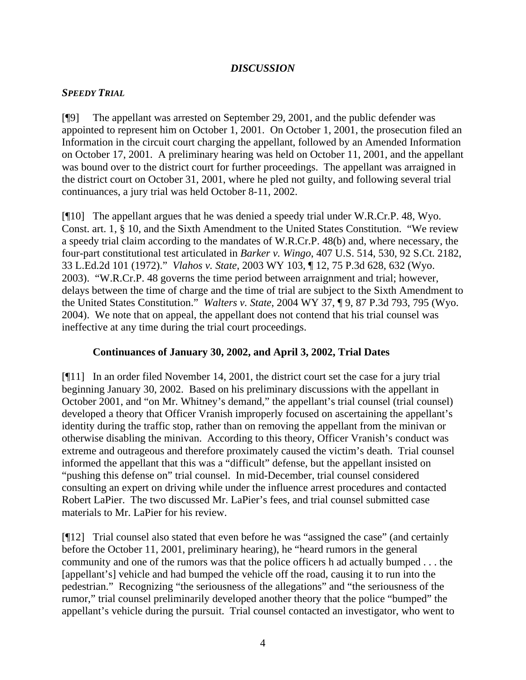### *DISCUSSION*

### *SPEEDY TRIAL*

[¶9] The appellant was arrested on September 29, 2001, and the public defender was appointed to represent him on October 1, 2001. On October 1, 2001, the prosecution filed an Information in the circuit court charging the appellant, followed by an Amended Information on October 17, 2001. A preliminary hearing was held on October 11, 2001, and the appellant was bound over to the district court for further proceedings. The appellant was arraigned in the district court on October 31, 2001, where he pled not guilty, and following several trial continuances, a jury trial was held October 8-11, 2002.

[¶10] The appellant argues that he was denied a speedy trial under W.R.Cr.P. 48, Wyo. Const. art. 1, § 10, and the Sixth Amendment to the United States Constitution. "We review a speedy trial claim according to the mandates of W.R.Cr.P. 48(b) and, where necessary, the four-part constitutional test articulated in *Barker v. Wingo*, 407 U.S. 514, 530, 92 S.Ct. 2182, 33 L.Ed.2d 101 (1972)." *Vlahos v. State*, 2003 WY 103, ¶ 12, 75 P.3d 628, 632 (Wyo. 2003). "W.R.Cr.P. 48 governs the time period between arraignment and trial; however, delays between the time of charge and the time of trial are subject to the Sixth Amendment to the United States Constitution." *Walters v. State*, 2004 WY 37, ¶ 9, 87 P.3d 793, 795 (Wyo. 2004). We note that on appeal, the appellant does not contend that his trial counsel was ineffective at any time during the trial court proceedings.

## **Continuances of January 30, 2002, and April 3, 2002, Trial Dates**

[¶11] In an order filed November 14, 2001, the district court set the case for a jury trial beginning January 30, 2002. Based on his preliminary discussions with the appellant in October 2001, and "on Mr. Whitney's demand," the appellant's trial counsel (trial counsel) developed a theory that Officer Vranish improperly focused on ascertaining the appellant's identity during the traffic stop, rather than on removing the appellant from the minivan or otherwise disabling the minivan. According to this theory, Officer Vranish's conduct was extreme and outrageous and therefore proximately caused the victim's death. Trial counsel informed the appellant that this was a "difficult" defense, but the appellant insisted on "pushing this defense on" trial counsel. In mid-December, trial counsel considered consulting an expert on driving while under the influence arrest procedures and contacted Robert LaPier. The two discussed Mr. LaPier's fees, and trial counsel submitted case materials to Mr. LaPier for his review.

[¶12] Trial counsel also stated that even before he was "assigned the case" (and certainly before the October 11, 2001, preliminary hearing), he "heard rumors in the general community and one of the rumors was that the police officers h ad actually bumped . . . the [appellant's] vehicle and had bumped the vehicle off the road, causing it to run into the pedestrian." Recognizing "the seriousness of the allegations" and "the seriousness of the rumor," trial counsel preliminarily developed another theory that the police "bumped" the appellant's vehicle during the pursuit. Trial counsel contacted an investigator, who went to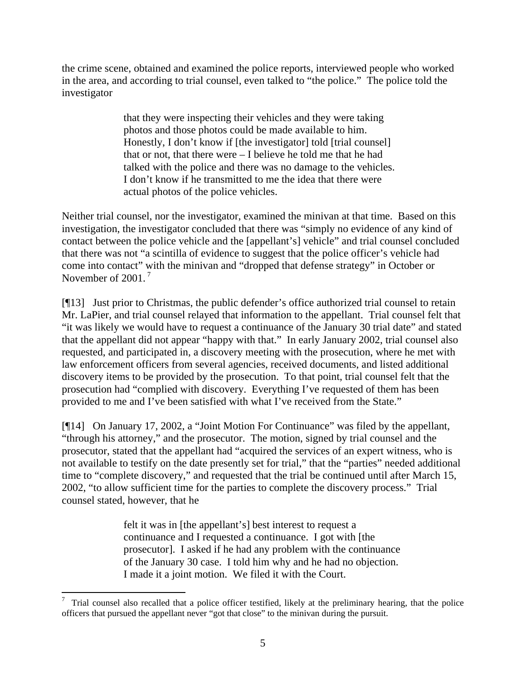the crime scene, obtained and examined the police reports, interviewed people who worked in the area, and according to trial counsel, even talked to "the police." The police told the investigator

> that they were inspecting their vehicles and they were taking photos and those photos could be made available to him. Honestly, I don't know if [the investigator] told [trial counsel] that or not, that there were – I believe he told me that he had talked with the police and there was no damage to the vehicles. I don't know if he transmitted to me the idea that there were actual photos of the police vehicles.

Neither trial counsel, nor the investigator, examined the minivan at that time. Based on this investigation, the investigator concluded that there was "simply no evidence of any kind of contact between the police vehicle and the [appellant's] vehicle" and trial counsel concluded that there was not "a scintilla of evidence to suggest that the police officer's vehicle had come into contact" with the minivan and "dropped that defense strategy" in October or November of 2001.<sup>7</sup>

[¶13] Just prior to Christmas, the public defender's office authorized trial counsel to retain Mr. LaPier, and trial counsel relayed that information to the appellant. Trial counsel felt that "it was likely we would have to request a continuance of the January 30 trial date" and stated that the appellant did not appear "happy with that." In early January 2002, trial counsel also requested, and participated in, a discovery meeting with the prosecution, where he met with law enforcement officers from several agencies, received documents, and listed additional discovery items to be provided by the prosecution. To that point, trial counsel felt that the prosecution had "complied with discovery. Everything I've requested of them has been provided to me and I've been satisfied with what I've received from the State."

[¶14] On January 17, 2002, a "Joint Motion For Continuance" was filed by the appellant, "through his attorney," and the prosecutor. The motion, signed by trial counsel and the prosecutor, stated that the appellant had "acquired the services of an expert witness, who is not available to testify on the date presently set for trial," that the "parties" needed additional time to "complete discovery," and requested that the trial be continued until after March 15, 2002, "to allow sufficient time for the parties to complete the discovery process." Trial counsel stated, however, that he

> felt it was in [the appellant's] best interest to request a continuance and I requested a continuance. I got with [the prosecutor]. I asked if he had any problem with the continuance of the January 30 case. I told him why and he had no objection. I made it a joint motion. We filed it with the Court.

 $\overline{a}$ 7 Trial counsel also recalled that a police officer testified, likely at the preliminary hearing, that the police officers that pursued the appellant never "got that close" to the minivan during the pursuit.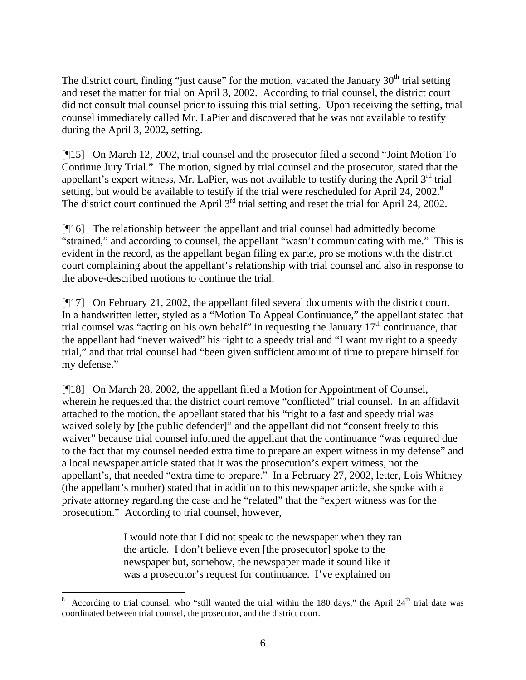The district court, finding "just cause" for the motion, vacated the January  $30<sup>th</sup>$  trial setting and reset the matter for trial on April 3, 2002. According to trial counsel, the district court did not consult trial counsel prior to issuing this trial setting. Upon receiving the setting, trial counsel immediately called Mr. LaPier and discovered that he was not available to testify during the April 3, 2002, setting.

[¶15] On March 12, 2002, trial counsel and the prosecutor filed a second "Joint Motion To Continue Jury Trial." The motion, signed by trial counsel and the prosecutor, stated that the appellant's expert witness, Mr. LaPier, was not available to testify during the April  $3<sup>rd</sup>$  trial setting, but would be available to testify if the trial were rescheduled for April  $24$ , 2002.<sup>8</sup> The district court continued the April 3<sup>rd</sup> trial setting and reset the trial for April 24, 2002.

[¶16] The relationship between the appellant and trial counsel had admittedly become "strained," and according to counsel, the appellant "wasn't communicating with me." This is evident in the record, as the appellant began filing ex parte, pro se motions with the district court complaining about the appellant's relationship with trial counsel and also in response to the above-described motions to continue the trial.

[¶17] On February 21, 2002, the appellant filed several documents with the district court. In a handwritten letter, styled as a "Motion To Appeal Continuance," the appellant stated that trial counsel was "acting on his own behalf" in requesting the January  $17<sup>th</sup>$  continuance, that the appellant had "never waived" his right to a speedy trial and "I want my right to a speedy trial," and that trial counsel had "been given sufficient amount of time to prepare himself for my defense."

[¶18] On March 28, 2002, the appellant filed a Motion for Appointment of Counsel, wherein he requested that the district court remove "conflicted" trial counsel. In an affidavit attached to the motion, the appellant stated that his "right to a fast and speedy trial was waived solely by [the public defender]" and the appellant did not "consent freely to this waiver" because trial counsel informed the appellant that the continuance "was required due to the fact that my counsel needed extra time to prepare an expert witness in my defense" and a local newspaper article stated that it was the prosecution's expert witness, not the appellant's, that needed "extra time to prepare." In a February 27, 2002, letter, Lois Whitney (the appellant's mother) stated that in addition to this newspaper article, she spoke with a private attorney regarding the case and he "related" that the "expert witness was for the prosecution." According to trial counsel, however,

> I would note that I did not speak to the newspaper when they ran the article. I don't believe even [the prosecutor] spoke to the newspaper but, somehow, the newspaper made it sound like it was a prosecutor's request for continuance. I've explained on

 $\overline{a}$ 

<sup>8</sup> According to trial counsel, who "still wanted the trial within the 180 days," the April  $24<sup>th</sup>$  trial date was coordinated between trial counsel, the prosecutor, and the district court.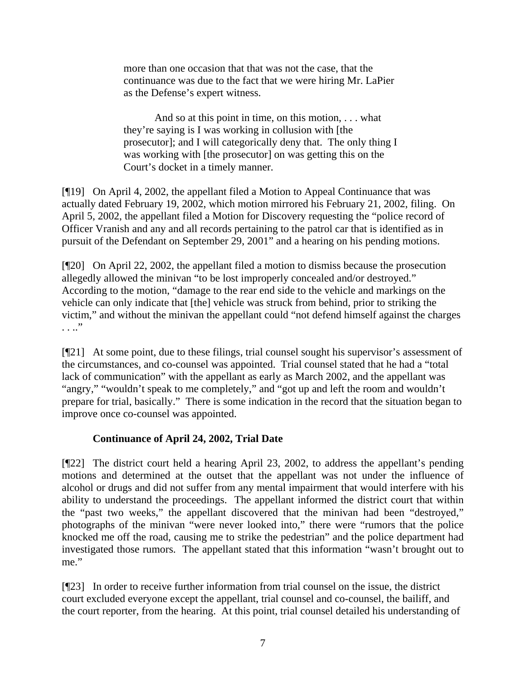more than one occasion that that was not the case, that the continuance was due to the fact that we were hiring Mr. LaPier as the Defense's expert witness.

And so at this point in time, on this motion, . . . what they're saying is I was working in collusion with [the prosecutor]; and I will categorically deny that. The only thing I was working with [the prosecutor] on was getting this on the Court's docket in a timely manner.

[¶19] On April 4, 2002, the appellant filed a Motion to Appeal Continuance that was actually dated February 19, 2002, which motion mirrored his February 21, 2002, filing. On April 5, 2002, the appellant filed a Motion for Discovery requesting the "police record of Officer Vranish and any and all records pertaining to the patrol car that is identified as in pursuit of the Defendant on September 29, 2001" and a hearing on his pending motions.

[¶20] On April 22, 2002, the appellant filed a motion to dismiss because the prosecution allegedly allowed the minivan "to be lost improperly concealed and/or destroyed." According to the motion, "damage to the rear end side to the vehicle and markings on the vehicle can only indicate that [the] vehicle was struck from behind, prior to striking the victim," and without the minivan the appellant could "not defend himself against the charges  $\cdot \cdot \cdot$   $\cdot$   $\cdot$ 

[¶21] At some point, due to these filings, trial counsel sought his supervisor's assessment of the circumstances, and co-counsel was appointed. Trial counsel stated that he had a "total lack of communication" with the appellant as early as March 2002, and the appellant was "angry," "wouldn't speak to me completely," and "got up and left the room and wouldn't prepare for trial, basically." There is some indication in the record that the situation began to improve once co-counsel was appointed.

## **Continuance of April 24, 2002, Trial Date**

[¶22] The district court held a hearing April 23, 2002, to address the appellant's pending motions and determined at the outset that the appellant was not under the influence of alcohol or drugs and did not suffer from any mental impairment that would interfere with his ability to understand the proceedings. The appellant informed the district court that within the "past two weeks," the appellant discovered that the minivan had been "destroyed," photographs of the minivan "were never looked into," there were "rumors that the police knocked me off the road, causing me to strike the pedestrian" and the police department had investigated those rumors. The appellant stated that this information "wasn't brought out to me."

[¶23] In order to receive further information from trial counsel on the issue, the district court excluded everyone except the appellant, trial counsel and co-counsel, the bailiff, and the court reporter, from the hearing. At this point, trial counsel detailed his understanding of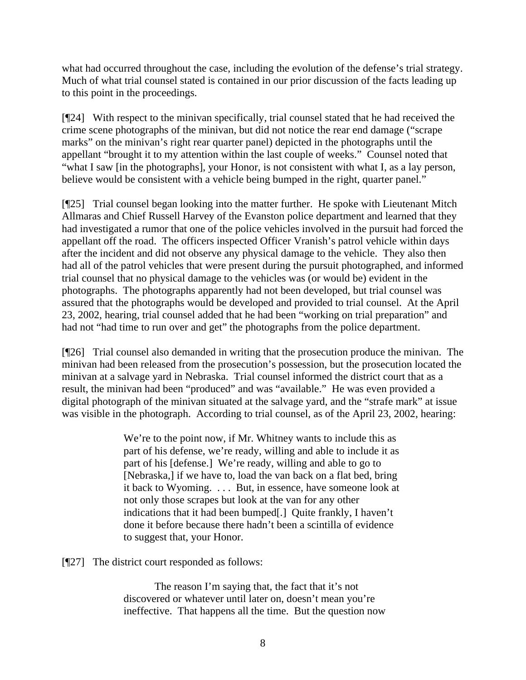what had occurred throughout the case, including the evolution of the defense's trial strategy. Much of what trial counsel stated is contained in our prior discussion of the facts leading up to this point in the proceedings.

[¶24] With respect to the minivan specifically, trial counsel stated that he had received the crime scene photographs of the minivan, but did not notice the rear end damage ("scrape marks" on the minivan's right rear quarter panel) depicted in the photographs until the appellant "brought it to my attention within the last couple of weeks." Counsel noted that "what I saw [in the photographs], your Honor, is not consistent with what I, as a lay person, believe would be consistent with a vehicle being bumped in the right, quarter panel."

[¶25] Trial counsel began looking into the matter further. He spoke with Lieutenant Mitch Allmaras and Chief Russell Harvey of the Evanston police department and learned that they had investigated a rumor that one of the police vehicles involved in the pursuit had forced the appellant off the road. The officers inspected Officer Vranish's patrol vehicle within days after the incident and did not observe any physical damage to the vehicle. They also then had all of the patrol vehicles that were present during the pursuit photographed, and informed trial counsel that no physical damage to the vehicles was (or would be) evident in the photographs. The photographs apparently had not been developed, but trial counsel was assured that the photographs would be developed and provided to trial counsel. At the April 23, 2002, hearing, trial counsel added that he had been "working on trial preparation" and had not "had time to run over and get" the photographs from the police department.

[¶26] Trial counsel also demanded in writing that the prosecution produce the minivan. The minivan had been released from the prosecution's possession, but the prosecution located the minivan at a salvage yard in Nebraska. Trial counsel informed the district court that as a result, the minivan had been "produced" and was "available." He was even provided a digital photograph of the minivan situated at the salvage yard, and the "strafe mark" at issue was visible in the photograph. According to trial counsel, as of the April 23, 2002, hearing:

> We're to the point now, if Mr. Whitney wants to include this as part of his defense, we're ready, willing and able to include it as part of his [defense.] We're ready, willing and able to go to [Nebraska,] if we have to, load the van back on a flat bed, bring it back to Wyoming. . . . But, in essence, have someone look at not only those scrapes but look at the van for any other indications that it had been bumped[.] Quite frankly, I haven't done it before because there hadn't been a scintilla of evidence to suggest that, your Honor.

[¶27] The district court responded as follows:

The reason I'm saying that, the fact that it's not discovered or whatever until later on, doesn't mean you're ineffective. That happens all the time. But the question now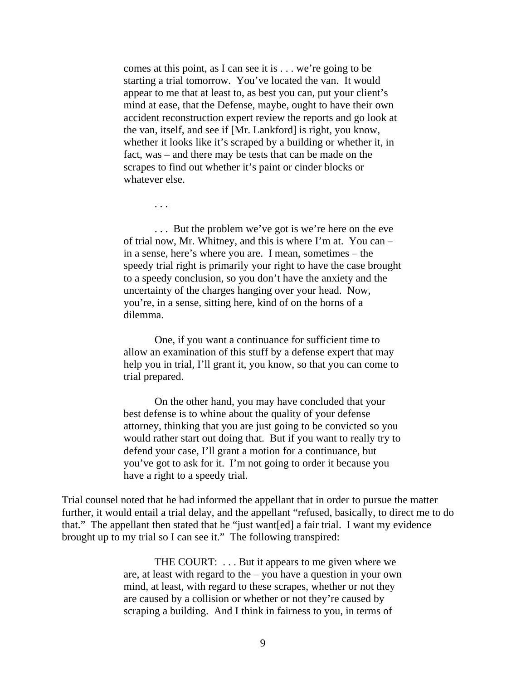comes at this point, as I can see it is . . . we're going to be starting a trial tomorrow. You've located the van. It would appear to me that at least to, as best you can, put your client's mind at ease, that the Defense, maybe, ought to have their own accident reconstruction expert review the reports and go look at the van, itself, and see if [Mr. Lankford] is right, you know, whether it looks like it's scraped by a building or whether it, in fact, was – and there may be tests that can be made on the scrapes to find out whether it's paint or cinder blocks or whatever else.

. . . But the problem we've got is we're here on the eve of trial now, Mr. Whitney, and this is where I'm at. You can – in a sense, here's where you are. I mean, sometimes – the speedy trial right is primarily your right to have the case brought to a speedy conclusion, so you don't have the anxiety and the uncertainty of the charges hanging over your head. Now, you're, in a sense, sitting here, kind of on the horns of a dilemma.

. . .

One, if you want a continuance for sufficient time to allow an examination of this stuff by a defense expert that may help you in trial, I'll grant it, you know, so that you can come to trial prepared.

On the other hand, you may have concluded that your best defense is to whine about the quality of your defense attorney, thinking that you are just going to be convicted so you would rather start out doing that. But if you want to really try to defend your case, I'll grant a motion for a continuance, but you've got to ask for it. I'm not going to order it because you have a right to a speedy trial.

Trial counsel noted that he had informed the appellant that in order to pursue the matter further, it would entail a trial delay, and the appellant "refused, basically, to direct me to do that." The appellant then stated that he "just want[ed] a fair trial. I want my evidence brought up to my trial so I can see it." The following transpired:

> THE COURT: . . . But it appears to me given where we are, at least with regard to the – you have a question in your own mind, at least, with regard to these scrapes, whether or not they are caused by a collision or whether or not they're caused by scraping a building. And I think in fairness to you, in terms of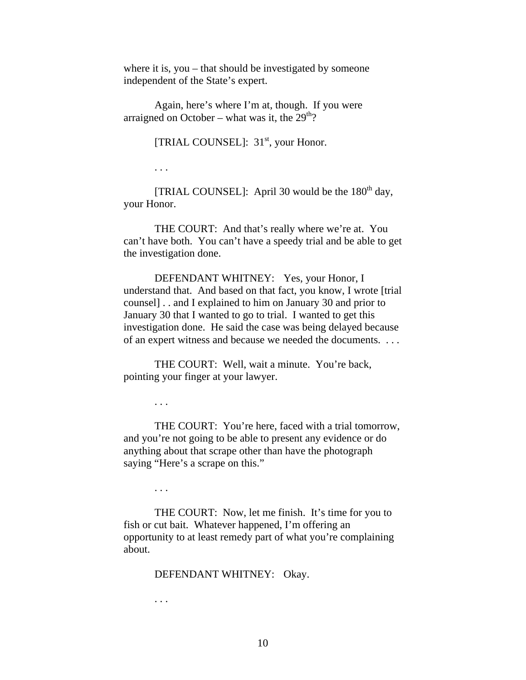where it is, you – that should be investigated by someone independent of the State's expert.

Again, here's where I'm at, though. If you were arraigned on October – what was it, the  $29<sup>th</sup>$ ?

[TRIAL COUNSEL]:  $31<sup>st</sup>$ , your Honor.

. . .

[TRIAL COUNSEL]: April 30 would be the  $180<sup>th</sup>$  day, your Honor.

THE COURT: And that's really where we're at. You can't have both. You can't have a speedy trial and be able to get the investigation done.

DEFENDANT WHITNEY: Yes, your Honor, I understand that. And based on that fact, you know, I wrote [trial counsel] . . and I explained to him on January 30 and prior to January 30 that I wanted to go to trial. I wanted to get this investigation done. He said the case was being delayed because of an expert witness and because we needed the documents. . . .

THE COURT: Well, wait a minute. You're back, pointing your finger at your lawyer.

. . .

THE COURT: You're here, faced with a trial tomorrow, and you're not going to be able to present any evidence or do anything about that scrape other than have the photograph saying "Here's a scrape on this."

. . .

THE COURT: Now, let me finish. It's time for you to fish or cut bait. Whatever happened, I'm offering an opportunity to at least remedy part of what you're complaining about.

DEFENDANT WHITNEY: Okay.

. . .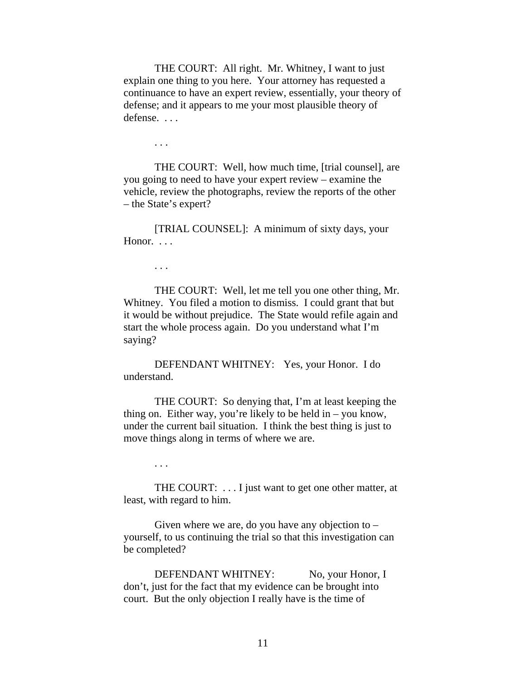THE COURT: All right. Mr. Whitney, I want to just explain one thing to you here. Your attorney has requested a continuance to have an expert review, essentially, your theory of defense; and it appears to me your most plausible theory of defense. . . .

. . .

THE COURT: Well, how much time, [trial counsel], are you going to need to have your expert review – examine the vehicle, review the photographs, review the reports of the other – the State's expert?

[TRIAL COUNSEL]: A minimum of sixty days, your Honor. ...

. . .

THE COURT: Well, let me tell you one other thing, Mr. Whitney. You filed a motion to dismiss. I could grant that but it would be without prejudice. The State would refile again and start the whole process again. Do you understand what I'm saying?

DEFENDANT WHITNEY: Yes, your Honor. I do understand.

THE COURT: So denying that, I'm at least keeping the thing on. Either way, you're likely to be held in – you know, under the current bail situation. I think the best thing is just to move things along in terms of where we are.

. . .

THE COURT: . . . I just want to get one other matter, at least, with regard to him.

Given where we are, do you have any objection to  $$ yourself, to us continuing the trial so that this investigation can be completed?

DEFENDANT WHITNEY: No, your Honor, I don't, just for the fact that my evidence can be brought into court. But the only objection I really have is the time of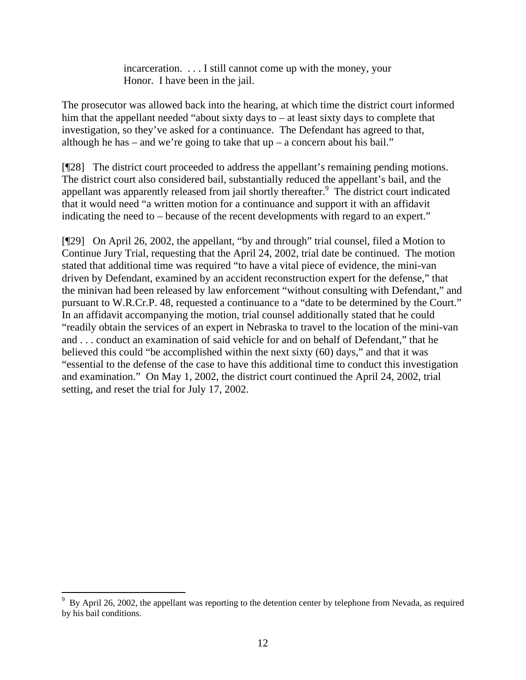incarceration. . . . I still cannot come up with the money, your Honor. I have been in the jail.

The prosecutor was allowed back into the hearing, at which time the district court informed him that the appellant needed "about sixty days to – at least sixty days to complete that investigation, so they've asked for a continuance. The Defendant has agreed to that, although he has – and we're going to take that  $up - a$  concern about his bail."

[¶28] The district court proceeded to address the appellant's remaining pending motions. The district court also considered bail, substantially reduced the appellant's bail, and the appellant was apparently released from jail shortly thereafter.<sup>9</sup> The district court indicated that it would need "a written motion for a continuance and support it with an affidavit indicating the need to – because of the recent developments with regard to an expert."

[¶29] On April 26, 2002, the appellant, "by and through" trial counsel, filed a Motion to Continue Jury Trial, requesting that the April 24, 2002, trial date be continued. The motion stated that additional time was required "to have a vital piece of evidence, the mini-van driven by Defendant, examined by an accident reconstruction expert for the defense," that the minivan had been released by law enforcement "without consulting with Defendant," and pursuant to W.R.Cr.P. 48, requested a continuance to a "date to be determined by the Court." In an affidavit accompanying the motion, trial counsel additionally stated that he could "readily obtain the services of an expert in Nebraska to travel to the location of the mini-van and . . . conduct an examination of said vehicle for and on behalf of Defendant," that he believed this could "be accomplished within the next sixty (60) days," and that it was "essential to the defense of the case to have this additional time to conduct this investigation and examination." On May 1, 2002, the district court continued the April 24, 2002, trial setting, and reset the trial for July 17, 2002.

 $\overline{a}$ 

<sup>9</sup> By April 26, 2002, the appellant was reporting to the detention center by telephone from Nevada, as required by his bail conditions.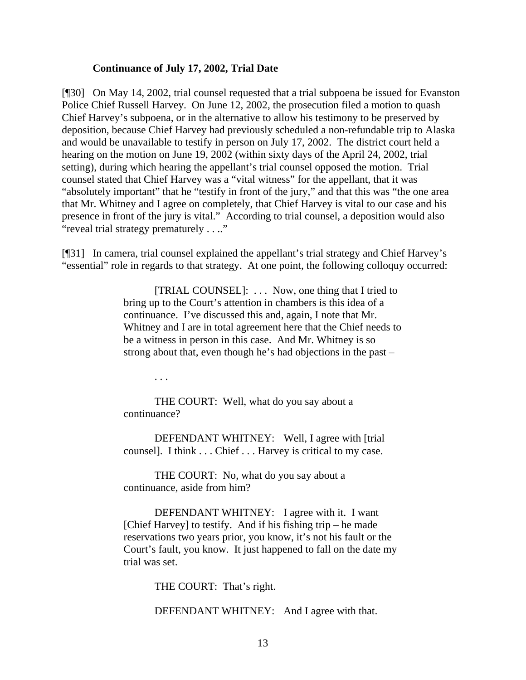#### **Continuance of July 17, 2002, Trial Date**

[¶30] On May 14, 2002, trial counsel requested that a trial subpoena be issued for Evanston Police Chief Russell Harvey. On June 12, 2002, the prosecution filed a motion to quash Chief Harvey's subpoena, or in the alternative to allow his testimony to be preserved by deposition, because Chief Harvey had previously scheduled a non-refundable trip to Alaska and would be unavailable to testify in person on July 17, 2002. The district court held a hearing on the motion on June 19, 2002 (within sixty days of the April 24, 2002, trial setting), during which hearing the appellant's trial counsel opposed the motion. Trial counsel stated that Chief Harvey was a "vital witness" for the appellant, that it was "absolutely important" that he "testify in front of the jury," and that this was "the one area that Mr. Whitney and I agree on completely, that Chief Harvey is vital to our case and his presence in front of the jury is vital." According to trial counsel, a deposition would also "reveal trial strategy prematurely . . .."

[¶31] In camera, trial counsel explained the appellant's trial strategy and Chief Harvey's "essential" role in regards to that strategy. At one point, the following colloquy occurred:

> [TRIAL COUNSEL]: . . . Now, one thing that I tried to bring up to the Court's attention in chambers is this idea of a continuance. I've discussed this and, again, I note that Mr. Whitney and I are in total agreement here that the Chief needs to be a witness in person in this case. And Mr. Whitney is so strong about that, even though he's had objections in the past –

> > . . .

THE COURT: Well, what do you say about a continuance?

DEFENDANT WHITNEY: Well, I agree with [trial counsel]. I think . . . Chief . . . Harvey is critical to my case.

THE COURT: No, what do you say about a continuance, aside from him?

DEFENDANT WHITNEY: I agree with it. I want [Chief Harvey] to testify. And if his fishing trip  $-$  he made reservations two years prior, you know, it's not his fault or the Court's fault, you know. It just happened to fall on the date my trial was set.

THE COURT: That's right.

DEFENDANT WHITNEY: And I agree with that.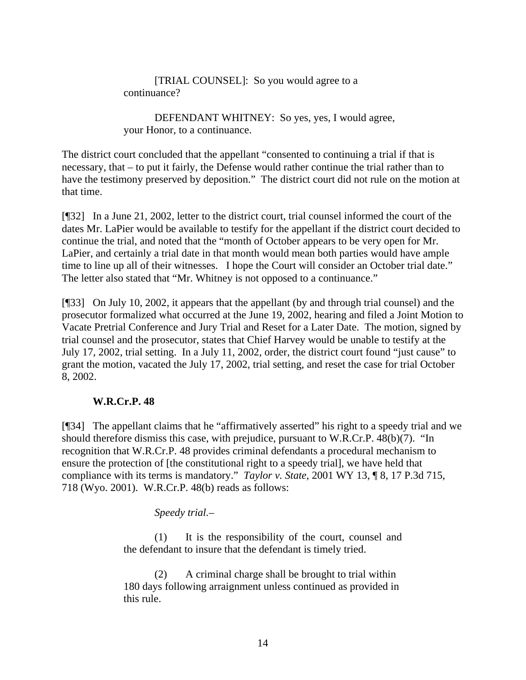[TRIAL COUNSEL]: So you would agree to a continuance?

DEFENDANT WHITNEY: So yes, yes, I would agree, your Honor, to a continuance.

The district court concluded that the appellant "consented to continuing a trial if that is necessary, that – to put it fairly, the Defense would rather continue the trial rather than to have the testimony preserved by deposition." The district court did not rule on the motion at that time.

[¶32] In a June 21, 2002, letter to the district court, trial counsel informed the court of the dates Mr. LaPier would be available to testify for the appellant if the district court decided to continue the trial, and noted that the "month of October appears to be very open for Mr. LaPier, and certainly a trial date in that month would mean both parties would have ample time to line up all of their witnesses. I hope the Court will consider an October trial date." The letter also stated that "Mr. Whitney is not opposed to a continuance."

[¶33] On July 10, 2002, it appears that the appellant (by and through trial counsel) and the prosecutor formalized what occurred at the June 19, 2002, hearing and filed a Joint Motion to Vacate Pretrial Conference and Jury Trial and Reset for a Later Date. The motion, signed by trial counsel and the prosecutor, states that Chief Harvey would be unable to testify at the July 17, 2002, trial setting. In a July 11, 2002, order, the district court found "just cause" to grant the motion, vacated the July 17, 2002, trial setting, and reset the case for trial October 8, 2002.

### **W.R.Cr.P. 48**

[¶34] The appellant claims that he "affirmatively asserted" his right to a speedy trial and we should therefore dismiss this case, with prejudice, pursuant to W.R.Cr.P. 48(b)(7). "In recognition that W.R.Cr.P. 48 provides criminal defendants a procedural mechanism to ensure the protection of [the constitutional right to a speedy trial], we have held that compliance with its terms is mandatory." *Taylor v. State*, 2001 WY 13, ¶ 8, 17 P.3d 715, 718 (Wyo. 2001). W.R.Cr.P. 48(b) reads as follows:

*Speedy trial.*–

(1) It is the responsibility of the court, counsel and the defendant to insure that the defendant is timely tried.

(2) A criminal charge shall be brought to trial within 180 days following arraignment unless continued as provided in this rule.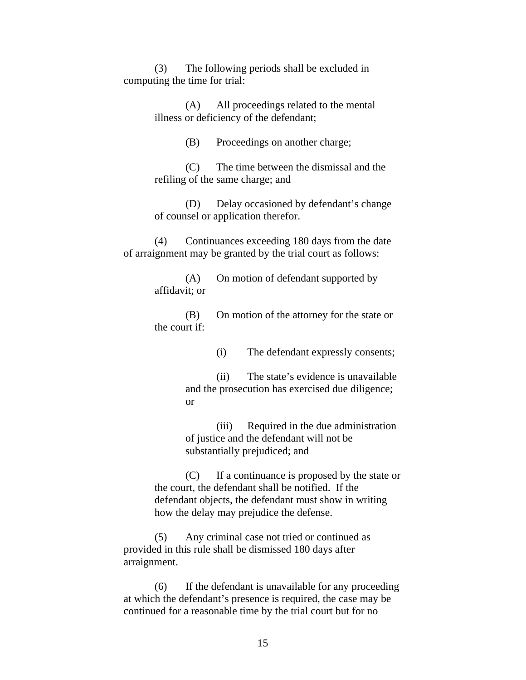(3) The following periods shall be excluded in computing the time for trial:

> (A) All proceedings related to the mental illness or deficiency of the defendant;

> > (B) Proceedings on another charge;

(C) The time between the dismissal and the refiling of the same charge; and

(D) Delay occasioned by defendant's change of counsel or application therefor.

(4) Continuances exceeding 180 days from the date of arraignment may be granted by the trial court as follows:

> (A) On motion of defendant supported by affidavit; or

(B) On motion of the attorney for the state or the court if:

(i) The defendant expressly consents;

(ii) The state's evidence is unavailable and the prosecution has exercised due diligence; or

(iii) Required in the due administration of justice and the defendant will not be substantially prejudiced; and

(C) If a continuance is proposed by the state or the court, the defendant shall be notified. If the defendant objects, the defendant must show in writing how the delay may prejudice the defense.

(5) Any criminal case not tried or continued as provided in this rule shall be dismissed 180 days after arraignment.

(6) If the defendant is unavailable for any proceeding at which the defendant's presence is required, the case may be continued for a reasonable time by the trial court but for no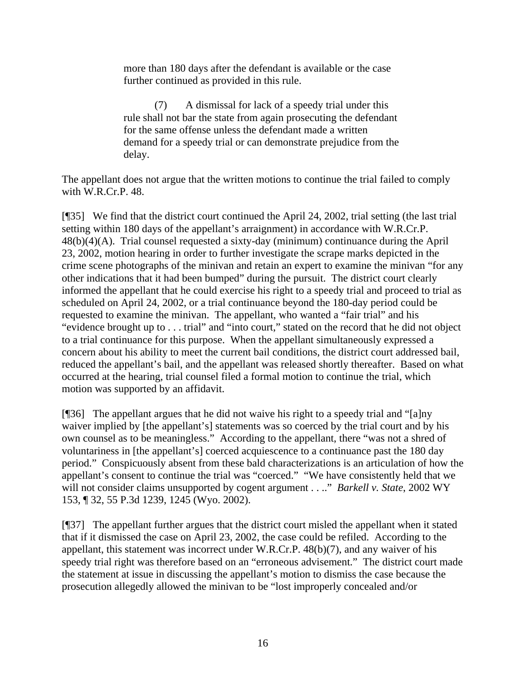more than 180 days after the defendant is available or the case further continued as provided in this rule.

(7) A dismissal for lack of a speedy trial under this rule shall not bar the state from again prosecuting the defendant for the same offense unless the defendant made a written demand for a speedy trial or can demonstrate prejudice from the delay.

The appellant does not argue that the written motions to continue the trial failed to comply with W.R.Cr.P. 48.

[¶35] We find that the district court continued the April 24, 2002, trial setting (the last trial setting within 180 days of the appellant's arraignment) in accordance with W.R.Cr.P. 48(b)(4)(A). Trial counsel requested a sixty-day (minimum) continuance during the April 23, 2002, motion hearing in order to further investigate the scrape marks depicted in the crime scene photographs of the minivan and retain an expert to examine the minivan "for any other indications that it had been bumped" during the pursuit. The district court clearly informed the appellant that he could exercise his right to a speedy trial and proceed to trial as scheduled on April 24, 2002, or a trial continuance beyond the 180-day period could be requested to examine the minivan. The appellant, who wanted a "fair trial" and his "evidence brought up to . . . trial" and "into court," stated on the record that he did not object to a trial continuance for this purpose. When the appellant simultaneously expressed a concern about his ability to meet the current bail conditions, the district court addressed bail, reduced the appellant's bail, and the appellant was released shortly thereafter. Based on what occurred at the hearing, trial counsel filed a formal motion to continue the trial, which motion was supported by an affidavit.

[¶36] The appellant argues that he did not waive his right to a speedy trial and "[a]ny waiver implied by [the appellant's] statements was so coerced by the trial court and by his own counsel as to be meaningless." According to the appellant, there "was not a shred of voluntariness in [the appellant's] coerced acquiescence to a continuance past the 180 day period." Conspicuously absent from these bald characterizations is an articulation of how the appellant's consent to continue the trial was "coerced." "We have consistently held that we will not consider claims unsupported by cogent argument . . .." *Barkell v. State*, 2002 WY 153, ¶ 32, 55 P.3d 1239, 1245 (Wyo. 2002).

[¶37] The appellant further argues that the district court misled the appellant when it stated that if it dismissed the case on April 23, 2002, the case could be refiled. According to the appellant, this statement was incorrect under W.R.Cr.P. 48(b)(7), and any waiver of his speedy trial right was therefore based on an "erroneous advisement." The district court made the statement at issue in discussing the appellant's motion to dismiss the case because the prosecution allegedly allowed the minivan to be "lost improperly concealed and/or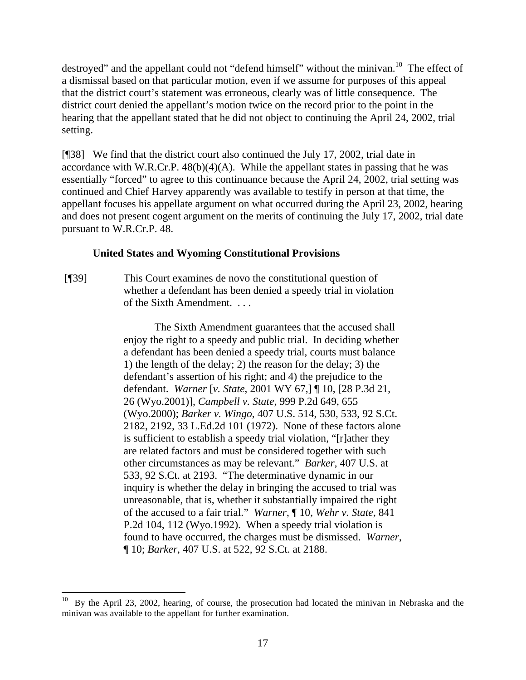destroyed" and the appellant could not "defend himself" without the minivan.<sup>10</sup> The effect of a dismissal based on that particular motion, even if we assume for purposes of this appeal that the district court's statement was erroneous, clearly was of little consequence. The district court denied the appellant's motion twice on the record prior to the point in the hearing that the appellant stated that he did not object to continuing the April 24, 2002, trial setting.

[¶38] We find that the district court also continued the July 17, 2002, trial date in accordance with W.R.Cr.P.  $48(b)(4)(A)$ . While the appellant states in passing that he was essentially "forced" to agree to this continuance because the April 24, 2002, trial setting was continued and Chief Harvey apparently was available to testify in person at that time, the appellant focuses his appellate argument on what occurred during the April 23, 2002, hearing and does not present cogent argument on the merits of continuing the July 17, 2002, trial date pursuant to W.R.Cr.P. 48.

### **United States and Wyoming Constitutional Provisions**

[¶39] This Court examines de novo the constitutional question of whether a defendant has been denied a speedy trial in violation of the Sixth Amendment. . . .

> The Sixth Amendment guarantees that the accused shall enjoy the right to a speedy and public trial. In deciding whether a defendant has been denied a speedy trial, courts must balance 1) the length of the delay; 2) the reason for the delay; 3) the defendant's assertion of his right; and 4) the prejudice to the defendant. *Warner* [*v. State*, 2001 WY 67,] ¶ 10, [28 P.3d 21, 26 (Wyo.2001)], *Campbell v. State*, 999 P.2d 649, 655 (Wyo.2000); *Barker v. Wingo*, 407 U.S. 514, 530, 533, 92 S.Ct. 2182, 2192, 33 L.Ed.2d 101 (1972). None of these factors alone is sufficient to establish a speedy trial violation, "[r]ather they are related factors and must be considered together with such other circumstances as may be relevant." *Barker*, 407 U.S. at 533, 92 S.Ct. at 2193. "The determinative dynamic in our inquiry is whether the delay in bringing the accused to trial was unreasonable, that is, whether it substantially impaired the right of the accused to a fair trial." *Warner*, ¶ 10, *Wehr v. State*, 841 P.2d 104, 112 (Wyo.1992). When a speedy trial violation is found to have occurred, the charges must be dismissed. *Warner*, ¶ 10; *Barker*, 407 U.S. at 522, 92 S.Ct. at 2188.

 $\overline{a}$ 10 By the April 23, 2002, hearing, of course, the prosecution had located the minivan in Nebraska and the minivan was available to the appellant for further examination.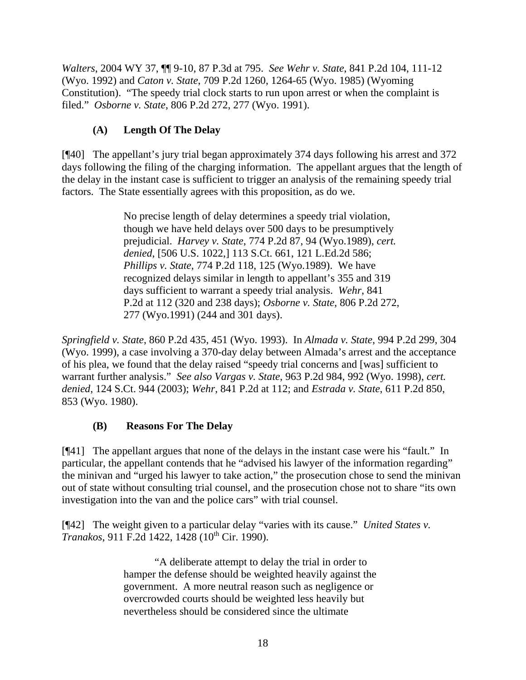*Walters*, 2004 WY 37, ¶¶ 9-10, 87 P.3d at 795. *See Wehr v. State*, 841 P.2d 104, 111-12 (Wyo. 1992) and *Caton v. State*, 709 P.2d 1260, 1264-65 (Wyo. 1985) (Wyoming Constitution). "The speedy trial clock starts to run upon arrest or when the complaint is filed." *Osborne v. State*, 806 P.2d 272, 277 (Wyo. 1991).

# **(A) Length Of The Delay**

[¶40] The appellant's jury trial began approximately 374 days following his arrest and 372 days following the filing of the charging information. The appellant argues that the length of the delay in the instant case is sufficient to trigger an analysis of the remaining speedy trial factors. The State essentially agrees with this proposition, as do we.

> No precise length of delay determines a speedy trial violation, though we have held delays over 500 days to be presumptively prejudicial. *Harvey v. State*, 774 P.2d 87, 94 (Wyo.1989), *cert. denied*, [506 U.S. 1022,] 113 S.Ct. 661, 121 L.Ed.2d 586; *Phillips v. State*, 774 P.2d 118, 125 (Wyo.1989). We have recognized delays similar in length to appellant's 355 and 319 days sufficient to warrant a speedy trial analysis. *Wehr*, 841 P.2d at 112 (320 and 238 days); *Osborne v. State*, 806 P.2d 272, 277 (Wyo.1991) (244 and 301 days).

*Springfield v. State*, 860 P.2d 435, 451 (Wyo. 1993). In *Almada v. State*, 994 P.2d 299, 304 (Wyo. 1999), a case involving a 370-day delay between Almada's arrest and the acceptance of his plea, we found that the delay raised "speedy trial concerns and [was] sufficient to warrant further analysis." *See also Vargas v. State*, 963 P.2d 984, 992 (Wyo. 1998), *cert. denied*, 124 S.Ct. 944 (2003); *Wehr*, 841 P.2d at 112; and *Estrada v. State*, 611 P.2d 850, 853 (Wyo. 1980).

## **(B) Reasons For The Delay**

[¶41] The appellant argues that none of the delays in the instant case were his "fault." In particular, the appellant contends that he "advised his lawyer of the information regarding" the minivan and "urged his lawyer to take action," the prosecution chose to send the minivan out of state without consulting trial counsel, and the prosecution chose not to share "its own investigation into the van and the police cars" with trial counsel.

[¶42] The weight given to a particular delay "varies with its cause." *United States v. Tranakos*, 911 F.2d 1422, 1428 (10<sup>th</sup> Cir. 1990).

> "A deliberate attempt to delay the trial in order to hamper the defense should be weighted heavily against the government. A more neutral reason such as negligence or overcrowded courts should be weighted less heavily but nevertheless should be considered since the ultimate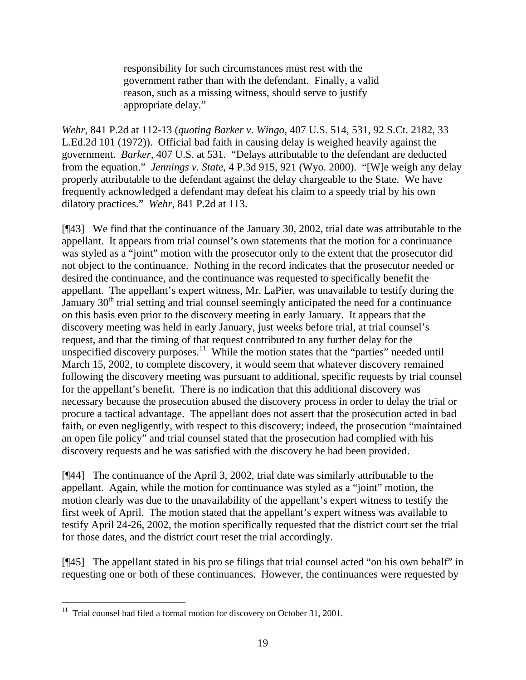responsibility for such circumstances must rest with the government rather than with the defendant. Finally, a valid reason, such as a missing witness, should serve to justify appropriate delay."

*Wehr*, 841 P.2d at 112-13 (*quoting Barker v. Wingo*, 407 U.S. 514, 531, 92 S.Ct. 2182, 33 L.Ed.2d 101 (1972)). Official bad faith in causing delay is weighed heavily against the government. *Barker*, 407 U.S. at 531. "Delays attributable to the defendant are deducted from the equation." *Jennings v. State*, 4 P.3d 915, 921 (Wyo. 2000). "[W]e weigh any delay properly attributable to the defendant against the delay chargeable to the State. We have frequently acknowledged a defendant may defeat his claim to a speedy trial by his own dilatory practices." *Wehr*, 841 P.2d at 113.

[¶43] We find that the continuance of the January 30, 2002, trial date was attributable to the appellant. It appears from trial counsel's own statements that the motion for a continuance was styled as a "joint" motion with the prosecutor only to the extent that the prosecutor did not object to the continuance. Nothing in the record indicates that the prosecutor needed or desired the continuance, and the continuance was requested to specifically benefit the appellant. The appellant's expert witness, Mr. LaPier, was unavailable to testify during the January  $30<sup>th</sup>$  trial setting and trial counsel seemingly anticipated the need for a continuance on this basis even prior to the discovery meeting in early January. It appears that the discovery meeting was held in early January, just weeks before trial, at trial counsel's request, and that the timing of that request contributed to any further delay for the unspecified discovery purposes.<sup>11</sup> While the motion states that the "parties" needed until March 15, 2002, to complete discovery, it would seem that whatever discovery remained following the discovery meeting was pursuant to additional, specific requests by trial counsel for the appellant's benefit. There is no indication that this additional discovery was necessary because the prosecution abused the discovery process in order to delay the trial or procure a tactical advantage. The appellant does not assert that the prosecution acted in bad faith, or even negligently, with respect to this discovery; indeed, the prosecution "maintained an open file policy" and trial counsel stated that the prosecution had complied with his discovery requests and he was satisfied with the discovery he had been provided.

[¶44] The continuance of the April 3, 2002, trial date was similarly attributable to the appellant. Again, while the motion for continuance was styled as a "joint" motion, the motion clearly was due to the unavailability of the appellant's expert witness to testify the first week of April. The motion stated that the appellant's expert witness was available to testify April 24-26, 2002, the motion specifically requested that the district court set the trial for those dates, and the district court reset the trial accordingly.

[¶45] The appellant stated in his pro se filings that trial counsel acted "on his own behalf" in requesting one or both of these continuances. However, the continuances were requested by

 $\overline{a}$ 

 $11$  Trial counsel had filed a formal motion for discovery on October 31, 2001.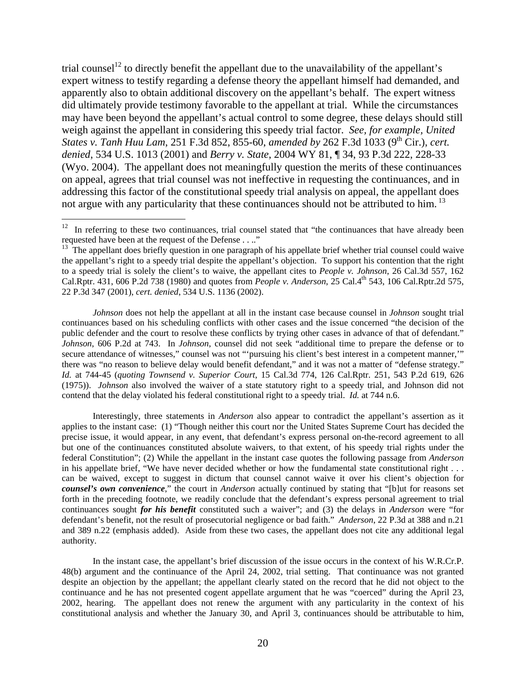trial counsel<sup>12</sup> to directly benefit the appellant due to the unavailability of the appellant's expert witness to testify regarding a defense theory the appellant himself had demanded, and apparently also to obtain additional discovery on the appellant's behalf. The expert witness did ultimately provide testimony favorable to the appellant at trial. While the circumstances may have been beyond the appellant's actual control to some degree, these delays should still weigh against the appellant in considering this speedy trial factor. *See, for example, United States v. Tanh Huu Lam, 251 F.3d 852, 855-60, amended by 262 F.3d 1033 (9<sup>th</sup> Cir.), <i>cert. denied*, 534 U.S. 1013 (2001) and *Berry v. State*, 2004 WY 81, ¶ 34, 93 P.3d 222, 228-33 (Wyo. 2004). The appellant does not meaningfully question the merits of these continuances on appeal, agrees that trial counsel was not ineffective in requesting the continuances, and in addressing this factor of the constitutional speedy trial analysis on appeal, the appellant does not argue with any particularity that these continuances should not be attributed to him.<sup>13</sup>

*Johnson* does not help the appellant at all in the instant case because counsel in *Johnson* sought trial continuances based on his scheduling conflicts with other cases and the issue concerned "the decision of the public defender and the court to resolve these conflicts by trying other cases in advance of that of defendant." *Johnson*, 606 P.2d at 743. In *Johnson*, counsel did not seek "additional time to prepare the defense or to secure attendance of witnesses," counsel was not "'pursuing his client's best interest in a competent manner,"" there was "no reason to believe delay would benefit defendant," and it was not a matter of "defense strategy." *Id.* at 744-45 (*quoting Townsend v. Superior Court*, 15 Cal.3d 774, 126 Cal.Rptr. 251, 543 P.2d 619, 626 (1975)). *Johnson* also involved the waiver of a state statutory right to a speedy trial, and Johnson did not contend that the delay violated his federal constitutional right to a speedy trial. *Id.* at 744 n.6.

Interestingly, three statements in *Anderson* also appear to contradict the appellant's assertion as it applies to the instant case: (1) "Though neither this court nor the United States Supreme Court has decided the precise issue, it would appear, in any event, that defendant's express personal on-the-record agreement to all but one of the continuances constituted absolute waivers, to that extent, of his speedy trial rights under the federal Constitution"; (2) While the appellant in the instant case quotes the following passage from *Anderson* in his appellate brief, "We have never decided whether or how the fundamental state constitutional right . . . can be waived, except to suggest in dictum that counsel cannot waive it over his client's objection for *counsel's own convenience*," the court in *Anderson* actually continued by stating that "[b]ut for reasons set forth in the preceding footnote, we readily conclude that the defendant's express personal agreement to trial continuances sought *for his benefit* constituted such a waiver"; and (3) the delays in *Anderson* were "for defendant's benefit, not the result of prosecutorial negligence or bad faith." *Anderson*, 22 P.3d at 388 and n.21 and 389 n.22 (emphasis added). Aside from these two cases, the appellant does not cite any additional legal authority.

In the instant case, the appellant's brief discussion of the issue occurs in the context of his W.R.Cr.P. 48(b) argument and the continuance of the April 24, 2002, trial setting. That continuance was not granted despite an objection by the appellant; the appellant clearly stated on the record that he did not object to the continuance and he has not presented cogent appellate argument that he was "coerced" during the April 23, 2002, hearing. The appellant does not renew the argument with any particularity in the context of his constitutional analysis and whether the January 30, and April 3, continuances should be attributable to him,

 $12$  In referring to these two continuances, trial counsel stated that "the continuances that have already been requested have been at the request of the Defense  $\dots$ ."<br><sup>13</sup> The appellant does briefly question in one paragraph of his appellate brief whether trial counsel could waive

the appellant's right to a speedy trial despite the appellant's objection. To support his contention that the right to a speedy trial is solely the client's to waive, the appellant cites to *People v. Johnson*, 26 Cal.3d 557, 162 Cal.Rptr. 431, 606 P.2d 738 (1980) and quotes from *People v. Anderson*, 25 Cal.4th 543, 106 Cal.Rptr.2d 575, 22 P.3d 347 (2001), *cert. denied*, 534 U.S. 1136 (2002).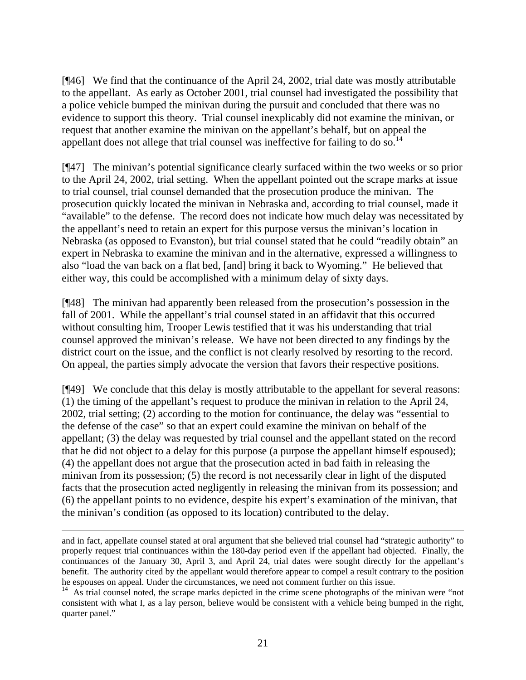[¶46] We find that the continuance of the April 24, 2002, trial date was mostly attributable to the appellant. As early as October 2001, trial counsel had investigated the possibility that a police vehicle bumped the minivan during the pursuit and concluded that there was no evidence to support this theory. Trial counsel inexplicably did not examine the minivan, or request that another examine the minivan on the appellant's behalf, but on appeal the appellant does not allege that trial counsel was ineffective for failing to do so.<sup>14</sup>

[¶47] The minivan's potential significance clearly surfaced within the two weeks or so prior to the April 24, 2002, trial setting. When the appellant pointed out the scrape marks at issue to trial counsel, trial counsel demanded that the prosecution produce the minivan. The prosecution quickly located the minivan in Nebraska and, according to trial counsel, made it "available" to the defense. The record does not indicate how much delay was necessitated by the appellant's need to retain an expert for this purpose versus the minivan's location in Nebraska (as opposed to Evanston), but trial counsel stated that he could "readily obtain" an expert in Nebraska to examine the minivan and in the alternative, expressed a willingness to also "load the van back on a flat bed, [and] bring it back to Wyoming." He believed that either way, this could be accomplished with a minimum delay of sixty days.

[¶48] The minivan had apparently been released from the prosecution's possession in the fall of 2001. While the appellant's trial counsel stated in an affidavit that this occurred without consulting him, Trooper Lewis testified that it was his understanding that trial counsel approved the minivan's release. We have not been directed to any findings by the district court on the issue, and the conflict is not clearly resolved by resorting to the record. On appeal, the parties simply advocate the version that favors their respective positions.

[¶49] We conclude that this delay is mostly attributable to the appellant for several reasons: (1) the timing of the appellant's request to produce the minivan in relation to the April 24, 2002, trial setting; (2) according to the motion for continuance, the delay was "essential to the defense of the case" so that an expert could examine the minivan on behalf of the appellant; (3) the delay was requested by trial counsel and the appellant stated on the record that he did not object to a delay for this purpose (a purpose the appellant himself espoused); (4) the appellant does not argue that the prosecution acted in bad faith in releasing the minivan from its possession; (5) the record is not necessarily clear in light of the disputed facts that the prosecution acted negligently in releasing the minivan from its possession; and (6) the appellant points to no evidence, despite his expert's examination of the minivan, that the minivan's condition (as opposed to its location) contributed to the delay.

and in fact, appellate counsel stated at oral argument that she believed trial counsel had "strategic authority" to properly request trial continuances within the 180-day period even if the appellant had objected. Finally, the continuances of the January 30, April 3, and April 24, trial dates were sought directly for the appellant's benefit. The authority cited by the appellant would therefore appear to compel a result contrary to the position he espouses on appeal. Under the circumstances, we need not comment further on this issue.

<sup>&</sup>lt;sup>14</sup> As trial counsel noted, the scrape marks depicted in the crime scene photographs of the minivan were "not consistent with what I, as a lay person, believe would be consistent with a vehicle being bumped in the right, quarter panel."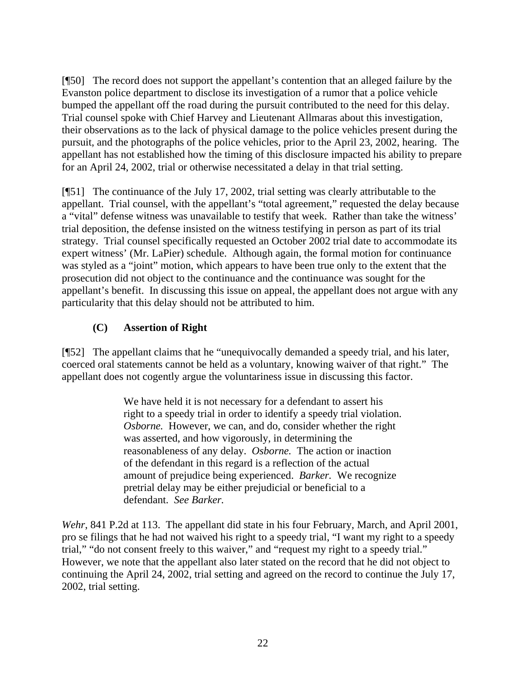[¶50] The record does not support the appellant's contention that an alleged failure by the Evanston police department to disclose its investigation of a rumor that a police vehicle bumped the appellant off the road during the pursuit contributed to the need for this delay. Trial counsel spoke with Chief Harvey and Lieutenant Allmaras about this investigation, their observations as to the lack of physical damage to the police vehicles present during the pursuit, and the photographs of the police vehicles, prior to the April 23, 2002, hearing. The appellant has not established how the timing of this disclosure impacted his ability to prepare for an April 24, 2002, trial or otherwise necessitated a delay in that trial setting.

[¶51] The continuance of the July 17, 2002, trial setting was clearly attributable to the appellant. Trial counsel, with the appellant's "total agreement," requested the delay because a "vital" defense witness was unavailable to testify that week. Rather than take the witness' trial deposition, the defense insisted on the witness testifying in person as part of its trial strategy. Trial counsel specifically requested an October 2002 trial date to accommodate its expert witness' (Mr. LaPier) schedule. Although again, the formal motion for continuance was styled as a "joint" motion, which appears to have been true only to the extent that the prosecution did not object to the continuance and the continuance was sought for the appellant's benefit. In discussing this issue on appeal, the appellant does not argue with any particularity that this delay should not be attributed to him.

## **(C) Assertion of Right**

[¶52] The appellant claims that he "unequivocally demanded a speedy trial, and his later, coerced oral statements cannot be held as a voluntary, knowing waiver of that right." The appellant does not cogently argue the voluntariness issue in discussing this factor.

> We have held it is not necessary for a defendant to assert his right to a speedy trial in order to identify a speedy trial violation. *Osborne.* However, we can, and do, consider whether the right was asserted, and how vigorously, in determining the reasonableness of any delay. *Osborne.* The action or inaction of the defendant in this regard is a reflection of the actual amount of prejudice being experienced. *Barker.* We recognize pretrial delay may be either prejudicial or beneficial to a defendant. *See Barker.*

*Wehr*, 841 P.2d at 113. The appellant did state in his four February, March, and April 2001, pro se filings that he had not waived his right to a speedy trial, "I want my right to a speedy trial," "do not consent freely to this waiver," and "request my right to a speedy trial." However, we note that the appellant also later stated on the record that he did not object to continuing the April 24, 2002, trial setting and agreed on the record to continue the July 17, 2002, trial setting.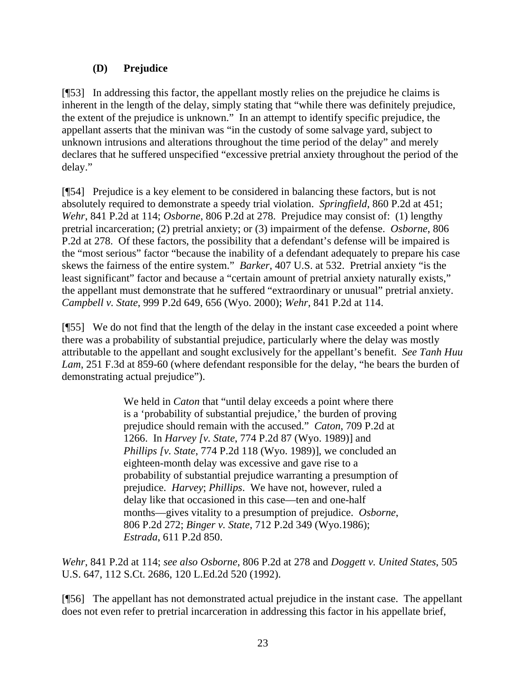## **(D) Prejudice**

[¶53] In addressing this factor, the appellant mostly relies on the prejudice he claims is inherent in the length of the delay, simply stating that "while there was definitely prejudice, the extent of the prejudice is unknown." In an attempt to identify specific prejudice, the appellant asserts that the minivan was "in the custody of some salvage yard, subject to unknown intrusions and alterations throughout the time period of the delay" and merely declares that he suffered unspecified "excessive pretrial anxiety throughout the period of the delay."

[¶54] Prejudice is a key element to be considered in balancing these factors, but is not absolutely required to demonstrate a speedy trial violation. *Springfield*, 860 P.2d at 451; *Wehr*, 841 P.2d at 114; *Osborne*, 806 P.2d at 278. Prejudice may consist of: (1) lengthy pretrial incarceration; (2) pretrial anxiety; or (3) impairment of the defense. *Osborne*, 806 P.2d at 278. Of these factors, the possibility that a defendant's defense will be impaired is the "most serious" factor "because the inability of a defendant adequately to prepare his case skews the fairness of the entire system." *Barker*, 407 U.S. at 532. Pretrial anxiety "is the least significant" factor and because a "certain amount of pretrial anxiety naturally exists," the appellant must demonstrate that he suffered "extraordinary or unusual" pretrial anxiety. *Campbell v. State*, 999 P.2d 649, 656 (Wyo. 2000); *Wehr*, 841 P.2d at 114.

[¶55] We do not find that the length of the delay in the instant case exceeded a point where there was a probability of substantial prejudice, particularly where the delay was mostly attributable to the appellant and sought exclusively for the appellant's benefit. *See Tanh Huu Lam*, 251 F.3d at 859-60 (where defendant responsible for the delay, "he bears the burden of demonstrating actual prejudice").

> We held in *Caton* that "until delay exceeds a point where there is a 'probability of substantial prejudice,' the burden of proving prejudice should remain with the accused." *Caton*, 709 P.2d at 1266. In *Harvey [v. State*, 774 P.2d 87 (Wyo. 1989)] and *Phillips [v. State*, 774 P.2d 118 (Wyo. 1989)], we concluded an eighteen-month delay was excessive and gave rise to a probability of substantial prejudice warranting a presumption of prejudice. *Harvey*; *Phillips*. We have not, however, ruled a delay like that occasioned in this case—ten and one-half months—gives vitality to a presumption of prejudice. *Osborne*, 806 P.2d 272; *Binger v. State*, 712 P.2d 349 (Wyo.1986); *Estrada*, 611 P.2d 850.

*Wehr*, 841 P.2d at 114; *see also Osborne*, 806 P.2d at 278 and *Doggett v. United States*, 505 U.S. 647, 112 S.Ct. 2686, 120 L.Ed.2d 520 (1992).

[¶56] The appellant has not demonstrated actual prejudice in the instant case. The appellant does not even refer to pretrial incarceration in addressing this factor in his appellate brief,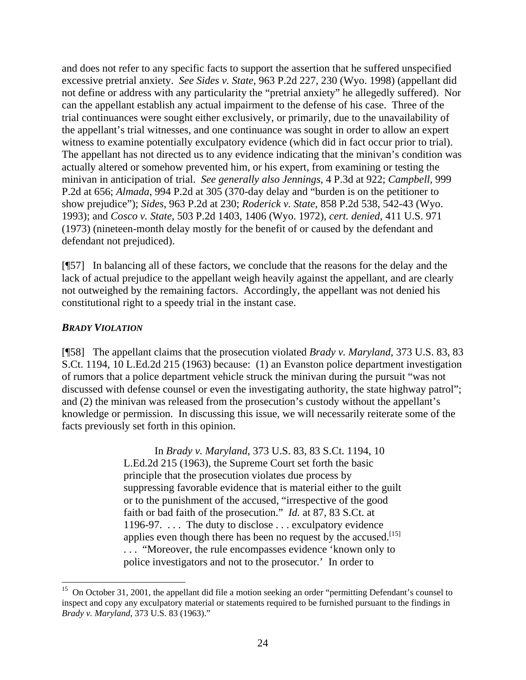and does not refer to any specific facts to support the assertion that he suffered unspecified excessive pretrial anxiety. *See Sides v. State*, 963 P.2d 227, 230 (Wyo. 1998) (appellant did not define or address with any particularity the "pretrial anxiety" he allegedly suffered). Nor can the appellant establish any actual impairment to the defense of his case. Three of the trial continuances were sought either exclusively, or primarily, due to the unavailability of the appellant's trial witnesses, and one continuance was sought in order to allow an expert witness to examine potentially exculpatory evidence (which did in fact occur prior to trial). The appellant has not directed us to any evidence indicating that the minivan's condition was actually altered or somehow prevented him, or his expert, from examining or testing the minivan in anticipation of trial. *See generally also Jennings*, 4 P.3d at 922; *Campbell*, 999 P.2d at 656; *Almada*, 994 P.2d at 305 (370-day delay and "burden is on the petitioner to show prejudice"); *Sides*, 963 P.2d at 230; *Roderick v. State*, 858 P.2d 538, 542-43 (Wyo. 1993); and *Cosco v. State*, 503 P.2d 1403, 1406 (Wyo. 1972), *cert. denied*, 411 U.S. 971 (1973) (nineteen-month delay mostly for the benefit of or caused by the defendant and defendant not prejudiced).

[¶57] In balancing all of these factors, we conclude that the reasons for the delay and the lack of actual prejudice to the appellant weigh heavily against the appellant, and are clearly not outweighed by the remaining factors. Accordingly, the appellant was not denied his constitutional right to a speedy trial in the instant case.

### *BRADY VIOLATION*

 $\overline{a}$ 

[¶58] The appellant claims that the prosecution violated *Brady v. Maryland*, 373 U.S. 83, 83 S.Ct. 1194, 10 L.Ed.2d 215 (1963) because: (1) an Evanston police department investigation of rumors that a police department vehicle struck the minivan during the pursuit "was not discussed with defense counsel or even the investigating authority, the state highway patrol"; and (2) the minivan was released from the prosecution's custody without the appellant's knowledge or permission. In discussing this issue, we will necessarily reiterate some of the facts previously set forth in this opinion.

> In *Brady v. Maryland*, 373 U.S. 83, 83 S.Ct. 1194, 10 L.Ed.2d 215 (1963), the Supreme Court set forth the basic principle that the prosecution violates due process by suppressing favorable evidence that is material either to the guilt or to the punishment of the accused, "irrespective of the good faith or bad faith of the prosecution." *Id.* at 87, 83 S.Ct. at 1196-97. . . . The duty to disclose . . . exculpatory evidence applies even though there has been no request by the accused.<sup>[15]</sup> . . . "Moreover, the rule encompasses evidence 'known only to police investigators and not to the prosecutor.' In order to

<sup>&</sup>lt;sup>15</sup> On October 31, 2001, the appellant did file a motion seeking an order "permitting Defendant's counsel to inspect and copy any exculpatory material or statements required to be furnished pursuant to the findings in *Brady v. Maryland*, 373 U.S. 83 (1963)."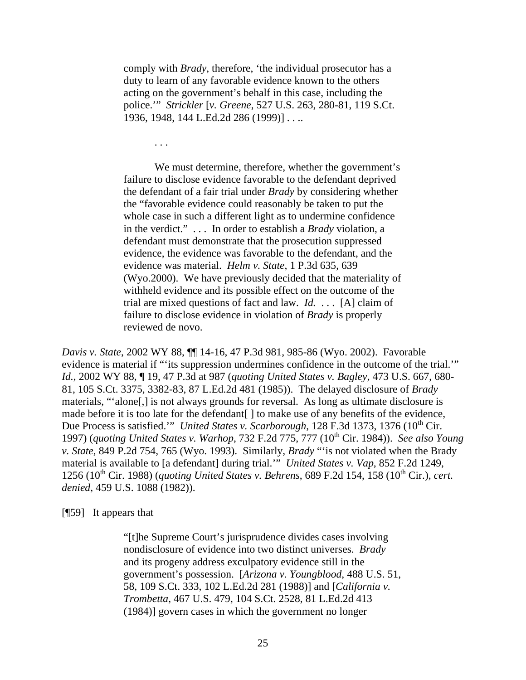comply with *Brady*, therefore, 'the individual prosecutor has a duty to learn of any favorable evidence known to the others acting on the government's behalf in this case, including the police.'" *Strickler* [*v. Greene*, 527 U.S. 263, 280-81, 119 S.Ct. 1936, 1948, 144 L.Ed.2d 286 (1999)] . . ..

. . .

We must determine, therefore, whether the government's failure to disclose evidence favorable to the defendant deprived the defendant of a fair trial under *Brady* by considering whether the "favorable evidence could reasonably be taken to put the whole case in such a different light as to undermine confidence in the verdict." . . . In order to establish a *Brady* violation, a defendant must demonstrate that the prosecution suppressed evidence, the evidence was favorable to the defendant, and the evidence was material. *Helm v. State*, 1 P.3d 635, 639 (Wyo.2000). We have previously decided that the materiality of withheld evidence and its possible effect on the outcome of the trial are mixed questions of fact and law. *Id.* . . . [A] claim of failure to disclose evidence in violation of *Brady* is properly reviewed de novo.

*Davis v. State*, 2002 WY 88, ¶¶ 14-16, 47 P.3d 981, 985-86 (Wyo. 2002). Favorable evidence is material if "'its suppression undermines confidence in the outcome of the trial.'" *Id.*, 2002 WY 88, ¶ 19, 47 P.3d at 987 (*quoting United States v. Bagley*, 473 U.S. 667, 680- 81, 105 S.Ct. 3375, 3382-83, 87 L.Ed.2d 481 (1985)). The delayed disclosure of *Brady* materials, "'alone[,] is not always grounds for reversal. As long as ultimate disclosure is made before it is too late for the defendant [] to make use of any benefits of the evidence, Due Process is satisfied.'" *United States v. Scarborough*, 128 F.3d 1373, 1376 (10<sup>th</sup> Cir. 1997) (*quoting United States v. Warhop*, 732 F.2d 775, 777 (10th Cir. 1984)). *See also Young v. State*, 849 P.2d 754, 765 (Wyo. 1993). Similarly, *Brady* "'is not violated when the Brady material is available to [a defendant] during trial.'" *United States v. Vap*, 852 F.2d 1249, 1256 (10<sup>th</sup> Cir. 1988) (*quoting United States v. Behrens*, 689 F.2d 154, 158 (10<sup>th</sup> Cir.), *cert. denied*, 459 U.S. 1088 (1982)).

[¶59] It appears that

"[t]he Supreme Court's jurisprudence divides cases involving nondisclosure of evidence into two distinct universes. *Brady* and its progeny address exculpatory evidence still in the government's possession. [*Arizona v. Youngblood*, 488 U.S. 51, 58, 109 S.Ct. 333, 102 L.Ed.2d 281 (1988)] and [*California v. Trombetta*, 467 U.S. 479, 104 S.Ct. 2528, 81 L.Ed.2d 413 (1984)] govern cases in which the government no longer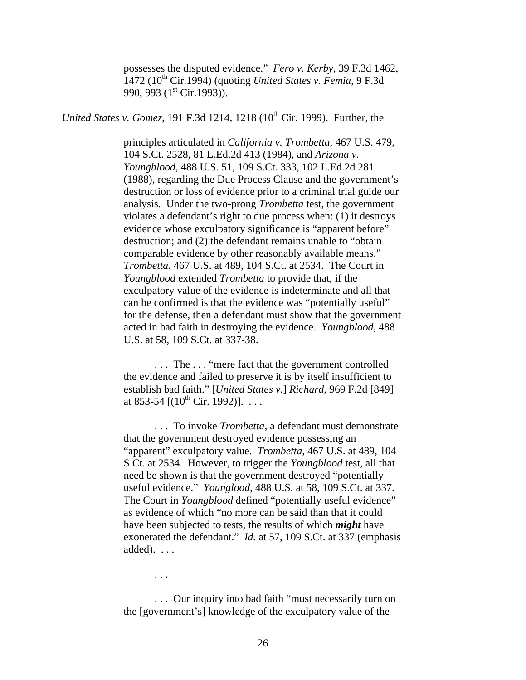possesses the disputed evidence." *Fero v. Kerby*, 39 F.3d 1462, 1472 (10th Cir.1994) (quoting *United States v. Femia*, 9 F.3d 990, 993 (1<sup>st</sup> Cir.1993)).

*United States v. Gomez*, 191 F.3d 1214, 1218 (10<sup>th</sup> Cir. 1999). Further, the

principles articulated in *California v. Trombetta*, 467 U.S. 479, 104 S.Ct. 2528, 81 L.Ed.2d 413 (1984), and *Arizona v. Youngblood*, 488 U.S. 51, 109 S.Ct. 333, 102 L.Ed.2d 281 (1988), regarding the Due Process Clause and the government's destruction or loss of evidence prior to a criminal trial guide our analysis. Under the two-prong *Trombetta* test, the government violates a defendant's right to due process when: (1) it destroys evidence whose exculpatory significance is "apparent before" destruction; and (2) the defendant remains unable to "obtain comparable evidence by other reasonably available means." *Trombetta*, 467 U.S. at 489, 104 S.Ct. at 2534. The Court in *Youngblood* extended *Trombetta* to provide that, if the exculpatory value of the evidence is indeterminate and all that can be confirmed is that the evidence was "potentially useful" for the defense, then a defendant must show that the government acted in bad faith in destroying the evidence. *Youngblood,* 488 U.S. at 58, 109 S.Ct. at 337-38.

. . . The . . . "mere fact that the government controlled the evidence and failed to preserve it is by itself insufficient to establish bad faith." [*United States v.*] *Richard*, 969 F.2d [849] at 853-54  $[(10^{th}$  Cir. 1992)]. ...

. . . To invoke *Trombetta*, a defendant must demonstrate that the government destroyed evidence possessing an "apparent" exculpatory value. *Trombetta*, 467 U.S. at 489, 104 S.Ct. at 2534. However, to trigger the *Youngblood* test, all that need be shown is that the government destroyed "potentially useful evidence." *Younglood*, 488 U.S. at 58, 109 S.Ct. at 337. The Court in *Youngblood* defined "potentially useful evidence" as evidence of which "no more can be said than that it could have been subjected to tests, the results of which *might* have exonerated the defendant." *Id.* at 57, 109 S.Ct. at 337 (emphasis added).  $\ldots$ 

. . .

. . . Our inquiry into bad faith "must necessarily turn on the [government's] knowledge of the exculpatory value of the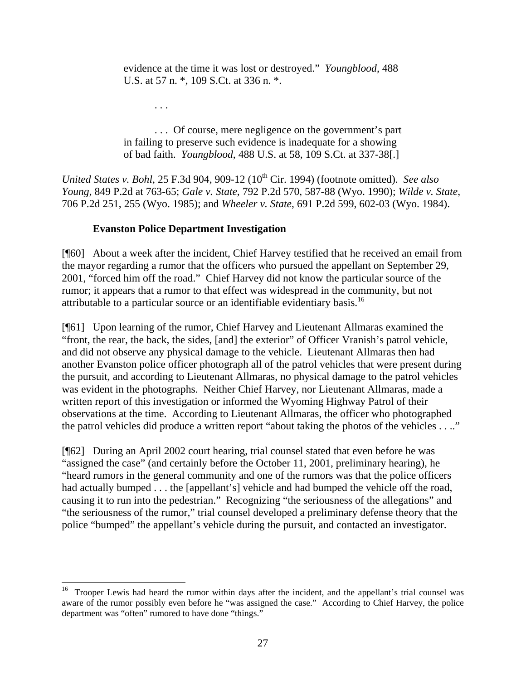evidence at the time it was lost or destroyed." *Youngblood*, 488 U.S. at 57 n. \*, 109 S.Ct. at 336 n. \*.

. . . Of course, mere negligence on the government's part in failing to preserve such evidence is inadequate for a showing of bad faith. *Youngblood*, 488 U.S. at 58, 109 S.Ct. at 337-38[.]

*United States v. Bohl, 25 F.3d 904, 909-12 (10<sup>th</sup> Cir. 1994) (footnote omitted). <i>See also Young*, 849 P.2d at 763-65; *Gale v. State*, 792 P.2d 570, 587-88 (Wyo. 1990); *Wilde v. State*, 706 P.2d 251, 255 (Wyo. 1985); and *Wheeler v. State*, 691 P.2d 599, 602-03 (Wyo. 1984).

## **Evanston Police Department Investigation**

. . .

[¶60] About a week after the incident, Chief Harvey testified that he received an email from the mayor regarding a rumor that the officers who pursued the appellant on September 29, 2001, "forced him off the road." Chief Harvey did not know the particular source of the rumor; it appears that a rumor to that effect was widespread in the community, but not attributable to a particular source or an identifiable evidentiary basis.<sup>16</sup>

[¶61] Upon learning of the rumor, Chief Harvey and Lieutenant Allmaras examined the "front, the rear, the back, the sides, [and] the exterior" of Officer Vranish's patrol vehicle, and did not observe any physical damage to the vehicle. Lieutenant Allmaras then had another Evanston police officer photograph all of the patrol vehicles that were present during the pursuit, and according to Lieutenant Allmaras, no physical damage to the patrol vehicles was evident in the photographs. Neither Chief Harvey, nor Lieutenant Allmaras, made a written report of this investigation or informed the Wyoming Highway Patrol of their observations at the time. According to Lieutenant Allmaras, the officer who photographed the patrol vehicles did produce a written report "about taking the photos of the vehicles . . .."

[¶62] During an April 2002 court hearing, trial counsel stated that even before he was "assigned the case" (and certainly before the October 11, 2001, preliminary hearing), he "heard rumors in the general community and one of the rumors was that the police officers had actually bumped . . . the [appellant's] vehicle and had bumped the vehicle off the road, causing it to run into the pedestrian." Recognizing "the seriousness of the allegations" and "the seriousness of the rumor," trial counsel developed a preliminary defense theory that the police "bumped" the appellant's vehicle during the pursuit, and contacted an investigator.

<sup>&</sup>lt;sup>16</sup> Trooper Lewis had heard the rumor within days after the incident, and the appellant's trial counsel was aware of the rumor possibly even before he "was assigned the case." According to Chief Harvey, the police department was "often" rumored to have done "things."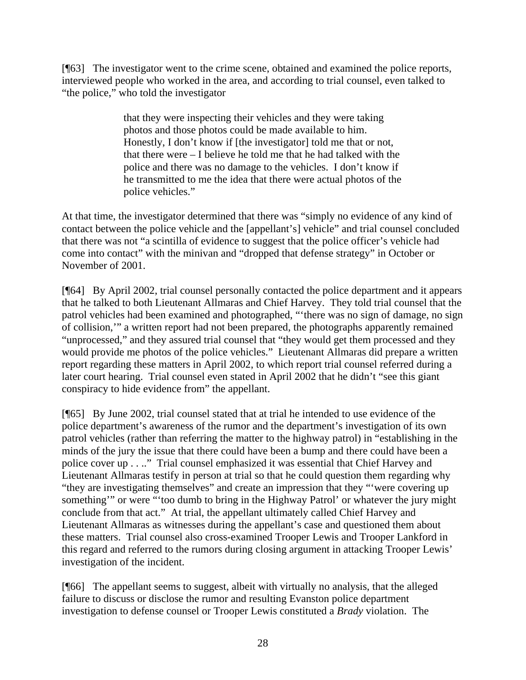[¶63] The investigator went to the crime scene, obtained and examined the police reports, interviewed people who worked in the area, and according to trial counsel, even talked to "the police," who told the investigator

> that they were inspecting their vehicles and they were taking photos and those photos could be made available to him. Honestly, I don't know if [the investigator] told me that or not, that there were – I believe he told me that he had talked with the police and there was no damage to the vehicles. I don't know if he transmitted to me the idea that there were actual photos of the police vehicles."

At that time, the investigator determined that there was "simply no evidence of any kind of contact between the police vehicle and the [appellant's] vehicle" and trial counsel concluded that there was not "a scintilla of evidence to suggest that the police officer's vehicle had come into contact" with the minivan and "dropped that defense strategy" in October or November of 2001.

[¶64] By April 2002, trial counsel personally contacted the police department and it appears that he talked to both Lieutenant Allmaras and Chief Harvey. They told trial counsel that the patrol vehicles had been examined and photographed, "'there was no sign of damage, no sign of collision,'" a written report had not been prepared, the photographs apparently remained "unprocessed," and they assured trial counsel that "they would get them processed and they would provide me photos of the police vehicles." Lieutenant Allmaras did prepare a written report regarding these matters in April 2002, to which report trial counsel referred during a later court hearing. Trial counsel even stated in April 2002 that he didn't "see this giant conspiracy to hide evidence from" the appellant.

[¶65] By June 2002, trial counsel stated that at trial he intended to use evidence of the police department's awareness of the rumor and the department's investigation of its own patrol vehicles (rather than referring the matter to the highway patrol) in "establishing in the minds of the jury the issue that there could have been a bump and there could have been a police cover up . . .." Trial counsel emphasized it was essential that Chief Harvey and Lieutenant Allmaras testify in person at trial so that he could question them regarding why "they are investigating themselves" and create an impression that they "'were covering up something" or were "'too dumb to bring in the Highway Patrol' or whatever the jury might conclude from that act." At trial, the appellant ultimately called Chief Harvey and Lieutenant Allmaras as witnesses during the appellant's case and questioned them about these matters. Trial counsel also cross-examined Trooper Lewis and Trooper Lankford in this regard and referred to the rumors during closing argument in attacking Trooper Lewis' investigation of the incident.

[¶66] The appellant seems to suggest, albeit with virtually no analysis, that the alleged failure to discuss or disclose the rumor and resulting Evanston police department investigation to defense counsel or Trooper Lewis constituted a *Brady* violation. The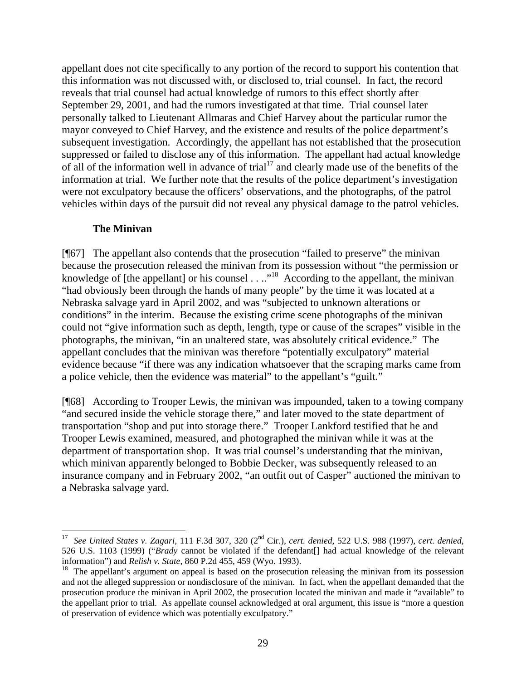appellant does not cite specifically to any portion of the record to support his contention that this information was not discussed with, or disclosed to, trial counsel. In fact, the record reveals that trial counsel had actual knowledge of rumors to this effect shortly after September 29, 2001, and had the rumors investigated at that time. Trial counsel later personally talked to Lieutenant Allmaras and Chief Harvey about the particular rumor the mayor conveyed to Chief Harvey, and the existence and results of the police department's subsequent investigation. Accordingly, the appellant has not established that the prosecution suppressed or failed to disclose any of this information. The appellant had actual knowledge of all of the information well in advance of trial<sup>17</sup> and clearly made use of the benefits of the information at trial. We further note that the results of the police department's investigation were not exculpatory because the officers' observations, and the photographs, of the patrol vehicles within days of the pursuit did not reveal any physical damage to the patrol vehicles.

#### **The Minivan**

 $\overline{a}$ 

[¶67] The appellant also contends that the prosecution "failed to preserve" the minivan because the prosecution released the minivan from its possession without "the permission or knowledge of [the appellant] or his counsel  $\dots$ <sup>18</sup> According to the appellant, the minivan "had obviously been through the hands of many people" by the time it was located at a Nebraska salvage yard in April 2002, and was "subjected to unknown alterations or conditions" in the interim. Because the existing crime scene photographs of the minivan could not "give information such as depth, length, type or cause of the scrapes" visible in the photographs, the minivan, "in an unaltered state, was absolutely critical evidence." The appellant concludes that the minivan was therefore "potentially exculpatory" material evidence because "if there was any indication whatsoever that the scraping marks came from a police vehicle, then the evidence was material" to the appellant's "guilt."

[¶68] According to Trooper Lewis, the minivan was impounded, taken to a towing company "and secured inside the vehicle storage there," and later moved to the state department of transportation "shop and put into storage there." Trooper Lankford testified that he and Trooper Lewis examined, measured, and photographed the minivan while it was at the department of transportation shop. It was trial counsel's understanding that the minivan, which minivan apparently belonged to Bobbie Decker, was subsequently released to an insurance company and in February 2002, "an outfit out of Casper" auctioned the minivan to a Nebraska salvage yard.

<sup>17</sup> *See United States v. Zagari*, 111 F.3d 307, 320 (2nd Cir.), *cert. denied*, 522 U.S. 988 (1997), *cert. denied*, 526 U.S. 1103 (1999) ("*Brady* cannot be violated if the defendant[] had actual knowledge of the relevant information") and *Relish v. State*, 860 P.2d 455, 459 (Wyo. 1993).

<sup>&</sup>lt;sup>18</sup> The appellant's argument on appeal is based on the prosecution releasing the minivan from its possession and not the alleged suppression or nondisclosure of the minivan. In fact, when the appellant demanded that the prosecution produce the minivan in April 2002, the prosecution located the minivan and made it "available" to the appellant prior to trial. As appellate counsel acknowledged at oral argument, this issue is "more a question of preservation of evidence which was potentially exculpatory."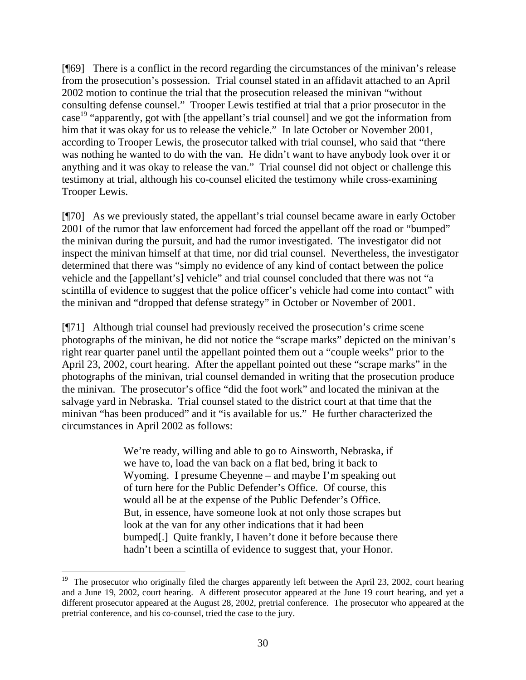[¶69] There is a conflict in the record regarding the circumstances of the minivan's release from the prosecution's possession. Trial counsel stated in an affidavit attached to an April 2002 motion to continue the trial that the prosecution released the minivan "without consulting defense counsel." Trooper Lewis testified at trial that a prior prosecutor in the case<sup>19</sup> "apparently, got with [the appellant's trial counsel] and we got the information from him that it was okay for us to release the vehicle." In late October or November 2001, according to Trooper Lewis, the prosecutor talked with trial counsel, who said that "there was nothing he wanted to do with the van. He didn't want to have anybody look over it or anything and it was okay to release the van." Trial counsel did not object or challenge this testimony at trial, although his co-counsel elicited the testimony while cross-examining Trooper Lewis.

[¶70] As we previously stated, the appellant's trial counsel became aware in early October 2001 of the rumor that law enforcement had forced the appellant off the road or "bumped" the minivan during the pursuit, and had the rumor investigated. The investigator did not inspect the minivan himself at that time, nor did trial counsel. Nevertheless, the investigator determined that there was "simply no evidence of any kind of contact between the police vehicle and the [appellant's] vehicle" and trial counsel concluded that there was not "a scintilla of evidence to suggest that the police officer's vehicle had come into contact" with the minivan and "dropped that defense strategy" in October or November of 2001.

[¶71] Although trial counsel had previously received the prosecution's crime scene photographs of the minivan, he did not notice the "scrape marks" depicted on the minivan's right rear quarter panel until the appellant pointed them out a "couple weeks" prior to the April 23, 2002, court hearing. After the appellant pointed out these "scrape marks" in the photographs of the minivan, trial counsel demanded in writing that the prosecution produce the minivan. The prosecutor's office "did the foot work" and located the minivan at the salvage yard in Nebraska. Trial counsel stated to the district court at that time that the minivan "has been produced" and it "is available for us." He further characterized the circumstances in April 2002 as follows:

> We're ready, willing and able to go to Ainsworth, Nebraska, if we have to, load the van back on a flat bed, bring it back to Wyoming. I presume Cheyenne – and maybe I'm speaking out of turn here for the Public Defender's Office. Of course, this would all be at the expense of the Public Defender's Office. But, in essence, have someone look at not only those scrapes but look at the van for any other indications that it had been bumped[.] Quite frankly, I haven't done it before because there hadn't been a scintilla of evidence to suggest that, your Honor.

 $\overline{a}$ 

<sup>&</sup>lt;sup>19</sup> The prosecutor who originally filed the charges apparently left between the April 23, 2002, court hearing and a June 19, 2002, court hearing. A different prosecutor appeared at the June 19 court hearing, and yet a different prosecutor appeared at the August 28, 2002, pretrial conference. The prosecutor who appeared at the pretrial conference, and his co-counsel, tried the case to the jury.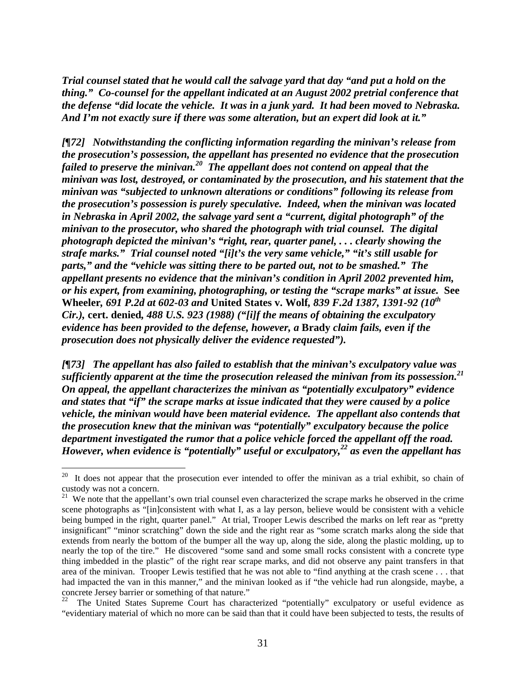*Trial counsel stated that he would call the salvage yard that day "and put a hold on the thing." Co-counsel for the appellant indicated at an August 2002 pretrial conference that the defense "did locate the vehicle. It was in a junk yard. It had been moved to Nebraska. And I'm not exactly sure if there was some alteration, but an expert did look at it."* 

*[¶72] Notwithstanding the conflicting information regarding the minivan's release from the prosecution's possession, the appellant has presented no evidence that the prosecution failed to preserve the minivan.20 The appellant does not contend on appeal that the minivan was lost, destroyed, or contaminated by the prosecution, and his statement that the minivan was "subjected to unknown alterations or conditions" following its release from the prosecution's possession is purely speculative. Indeed, when the minivan was located in Nebraska in April 2002, the salvage yard sent a "current, digital photograph" of the minivan to the prosecutor, who shared the photograph with trial counsel. The digital photograph depicted the minivan's "right, rear, quarter panel, . . . clearly showing the strafe marks." Trial counsel noted "[i]t's the very same vehicle," "it's still usable for parts," and the "vehicle was sitting there to be parted out, not to be smashed." The appellant presents no evidence that the minivan's condition in April 2002 prevented him, or his expert, from examining, photographing, or testing the "scrape marks" at issue.* **See Wheeler***, 691 P.2d at 602-03 and* **United States v. Wolf***, 839 F.2d 1387, 1391-92 (10th Cir.),* **cert. denied***, 488 U.S. 923 (1988) ("[i]f the means of obtaining the exculpatory evidence has been provided to the defense, however, a* **Brady** *claim fails, even if the prosecution does not physically deliver the evidence requested").* 

*[¶73] The appellant has also failed to establish that the minivan's exculpatory value was sufficiently apparent at the time the prosecution released the minivan from its possession.21 On appeal, the appellant characterizes the minivan as "potentially exculpatory" evidence and states that "if" the scrape marks at issue indicated that they were caused by a police vehicle, the minivan would have been material evidence. The appellant also contends that the prosecution knew that the minivan was "potentially" exculpatory because the police department investigated the rumor that a police vehicle forced the appellant off the road. However, when evidence is "potentially" useful or exculpatory,22 as even the appellant has* 

 $20\,$ It does not appear that the prosecution ever intended to offer the minivan as a trial exhibit, so chain of custody was not a concern.

<sup>&</sup>lt;sup>21</sup> We note that the appellant's own trial counsel even characterized the scrape marks he observed in the crime scene photographs as "[in]consistent with what I, as a lay person, believe would be consistent with a vehicle being bumped in the right, quarter panel." At trial, Trooper Lewis described the marks on left rear as "pretty insignificant" "minor scratching" down the side and the right rear as "some scratch marks along the side that extends from nearly the bottom of the bumper all the way up, along the side, along the plastic molding, up to nearly the top of the tire." He discovered "some sand and some small rocks consistent with a concrete type thing imbedded in the plastic" of the right rear scrape marks, and did not observe any paint transfers in that area of the minivan. Trooper Lewis testified that he was not able to "find anything at the crash scene . . . that had impacted the van in this manner," and the minivan looked as if "the vehicle had run alongside, maybe, a concrete Jersey barrier or something of that nature."

<sup>&</sup>lt;sup>22</sup> The United States Supreme Court has characterized "potentially" exculpatory or useful evidence as "evidentiary material of which no more can be said than that it could have been subjected to tests, the results of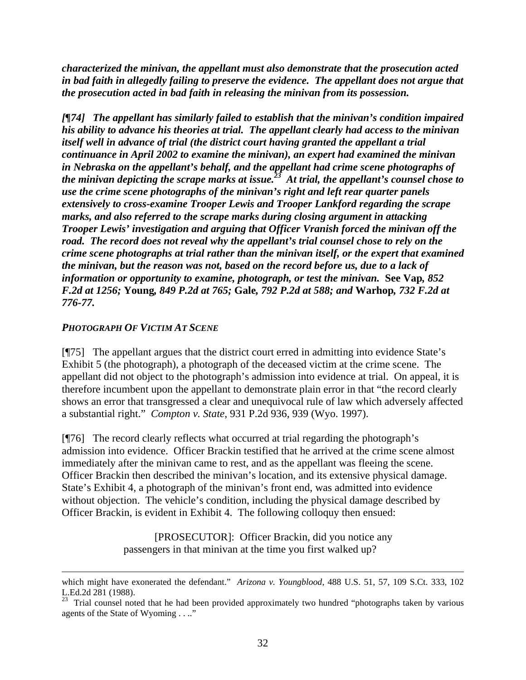*characterized the minivan, the appellant must also demonstrate that the prosecution acted in bad faith in allegedly failing to preserve the evidence. The appellant does not argue that the prosecution acted in bad faith in releasing the minivan from its possession.* 

*[¶74] The appellant has similarly failed to establish that the minivan's condition impaired his ability to advance his theories at trial. The appellant clearly had access to the minivan itself well in advance of trial (the district court having granted the appellant a trial continuance in April 2002 to examine the minivan), an expert had examined the minivan in Nebraska on the appellant's behalf, and the appellant had crime scene photographs of the minivan depicting the scrape marks at issue.23 At trial, the appellant's counsel chose to use the crime scene photographs of the minivan's right and left rear quarter panels extensively to cross-examine Trooper Lewis and Trooper Lankford regarding the scrape marks, and also referred to the scrape marks during closing argument in attacking Trooper Lewis' investigation and arguing that Officer Vranish forced the minivan off the road. The record does not reveal why the appellant's trial counsel chose to rely on the crime scene photographs at trial rather than the minivan itself, or the expert that examined the minivan, but the reason was not, based on the record before us, due to a lack of information or opportunity to examine, photograph, or test the minivan.* **See Vap***, 852 F.2d at 1256;* **Young***, 849 P.2d at 765;* **Gale***, 792 P.2d at 588; and* **Warhop***, 732 F.2d at 776-77.* 

## *PHOTOGRAPH OF VICTIM AT SCENE*

 $\overline{a}$ 

[¶75] The appellant argues that the district court erred in admitting into evidence State's Exhibit 5 (the photograph), a photograph of the deceased victim at the crime scene. The appellant did not object to the photograph's admission into evidence at trial. On appeal, it is therefore incumbent upon the appellant to demonstrate plain error in that "the record clearly shows an error that transgressed a clear and unequivocal rule of law which adversely affected a substantial right." *Compton v. State*, 931 P.2d 936, 939 (Wyo. 1997).

[¶76] The record clearly reflects what occurred at trial regarding the photograph's admission into evidence. Officer Brackin testified that he arrived at the crime scene almost immediately after the minivan came to rest, and as the appellant was fleeing the scene. Officer Brackin then described the minivan's location, and its extensive physical damage. State's Exhibit 4, a photograph of the minivan's front end, was admitted into evidence without objection. The vehicle's condition, including the physical damage described by Officer Brackin, is evident in Exhibit 4. The following colloquy then ensued:

> [PROSECUTOR]: Officer Brackin, did you notice any passengers in that minivan at the time you first walked up?

which might have exonerated the defendant." *Arizona v. Youngblood*, 488 U.S. 51, 57, 109 S.Ct. 333, 102 L.Ed.2d 281 (1988).

<sup>&</sup>lt;sup>23</sup> Trial counsel noted that he had been provided approximately two hundred "photographs taken by various agents of the State of Wyoming . . .."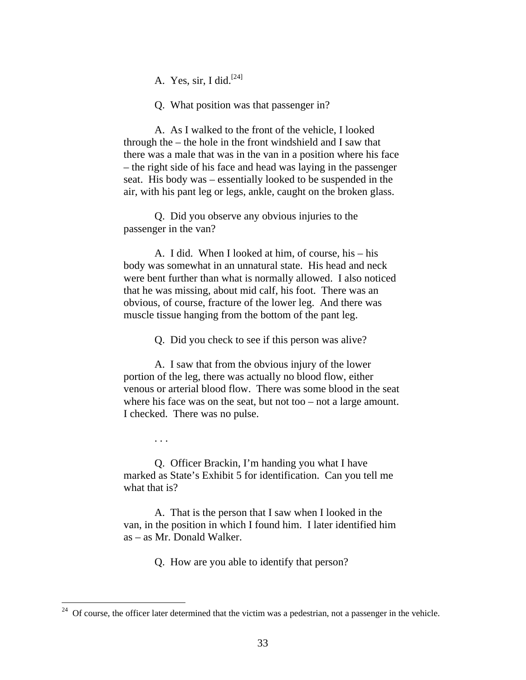A. Yes, sir, I did.<sup>[24]</sup>

Q. What position was that passenger in?

A. As I walked to the front of the vehicle, I looked through the – the hole in the front windshield and I saw that there was a male that was in the van in a position where his face – the right side of his face and head was laying in the passenger seat. His body was – essentially looked to be suspended in the air, with his pant leg or legs, ankle, caught on the broken glass.

Q. Did you observe any obvious injuries to the passenger in the van?

A. I did. When I looked at him, of course, his – his body was somewhat in an unnatural state. His head and neck were bent further than what is normally allowed. I also noticed that he was missing, about mid calf, his foot. There was an obvious, of course, fracture of the lower leg. And there was muscle tissue hanging from the bottom of the pant leg.

Q. Did you check to see if this person was alive?

A. I saw that from the obvious injury of the lower portion of the leg, there was actually no blood flow, either venous or arterial blood flow. There was some blood in the seat where his face was on the seat, but not too – not a large amount. I checked. There was no pulse.

Q. Officer Brackin, I'm handing you what I have marked as State's Exhibit 5 for identification. Can you tell me what that is?

. . .

A. That is the person that I saw when I looked in the van, in the position in which I found him. I later identified him as – as Mr. Donald Walker.

Q. How are you able to identify that person?

 $24$  Of course, the officer later determined that the victim was a pedestrian, not a passenger in the vehicle.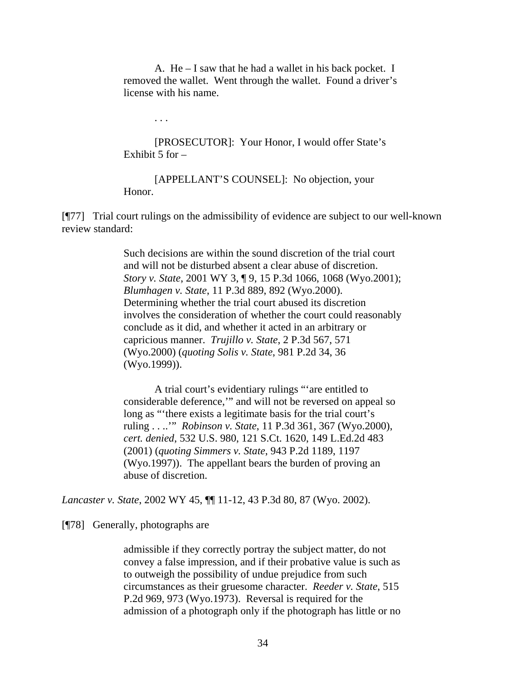A. He – I saw that he had a wallet in his back pocket. I removed the wallet. Went through the wallet. Found a driver's license with his name.

. . .

[PROSECUTOR]: Your Honor, I would offer State's Exhibit 5 for –

[APPELLANT'S COUNSEL]: No objection, your Honor.

[¶77] Trial court rulings on the admissibility of evidence are subject to our well-known review standard:

> Such decisions are within the sound discretion of the trial court and will not be disturbed absent a clear abuse of discretion. *Story v. State*, 2001 WY 3, ¶ 9, 15 P.3d 1066, 1068 (Wyo.2001); *Blumhagen v. State*, 11 P.3d 889, 892 (Wyo.2000). Determining whether the trial court abused its discretion involves the consideration of whether the court could reasonably conclude as it did, and whether it acted in an arbitrary or capricious manner. *Trujillo v. State*, 2 P.3d 567, 571 (Wyo.2000) (*quoting Solis v. State*, 981 P.2d 34, 36 (Wyo.1999)).

A trial court's evidentiary rulings "'are entitled to considerable deference,'" and will not be reversed on appeal so long as "'there exists a legitimate basis for the trial court's ruling . . ..'" *Robinson v. State*, 11 P.3d 361, 367 (Wyo.2000), *cert. denied*, 532 U.S. 980, 121 S.Ct. 1620, 149 L.Ed.2d 483 (2001) (*quoting Simmers v. State*, 943 P.2d 1189, 1197 (Wyo.1997)). The appellant bears the burden of proving an abuse of discretion.

*Lancaster v. State*, 2002 WY 45, ¶¶ 11-12, 43 P.3d 80, 87 (Wyo. 2002).

[¶78] Generally, photographs are

admissible if they correctly portray the subject matter, do not convey a false impression, and if their probative value is such as to outweigh the possibility of undue prejudice from such circumstances as their gruesome character. *Reeder v. State*, 515 P.2d 969, 973 (Wyo.1973). Reversal is required for the admission of a photograph only if the photograph has little or no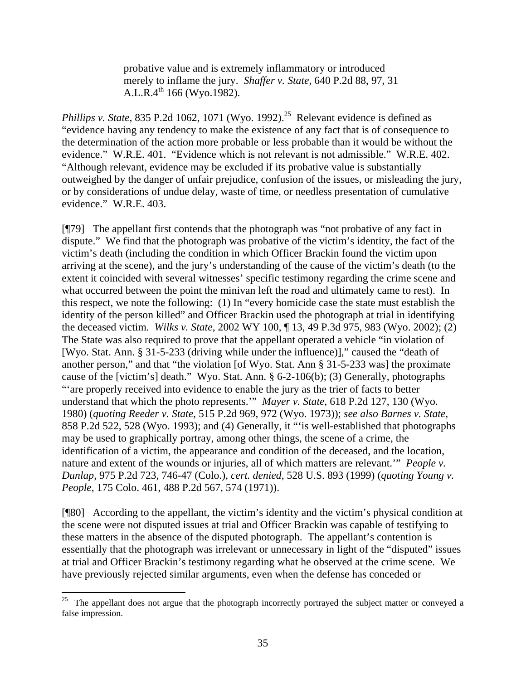probative value and is extremely inflammatory or introduced merely to inflame the jury. *Shaffer v. State*, 640 P.2d 88, 97, 31 A.L.R. $4^{\text{th}}$  166 (Wyo.1982).

*Phillips v. State*, 835 P.2d 1062, 1071 (Wyo. 1992).<sup>25</sup> Relevant evidence is defined as "evidence having any tendency to make the existence of any fact that is of consequence to the determination of the action more probable or less probable than it would be without the evidence." W.R.E. 401. "Evidence which is not relevant is not admissible." W.R.E. 402. "Although relevant, evidence may be excluded if its probative value is substantially outweighed by the danger of unfair prejudice, confusion of the issues, or misleading the jury, or by considerations of undue delay, waste of time, or needless presentation of cumulative evidence." W.R.E. 403.

[¶79] The appellant first contends that the photograph was "not probative of any fact in dispute." We find that the photograph was probative of the victim's identity, the fact of the victim's death (including the condition in which Officer Brackin found the victim upon arriving at the scene), and the jury's understanding of the cause of the victim's death (to the extent it coincided with several witnesses' specific testimony regarding the crime scene and what occurred between the point the minivan left the road and ultimately came to rest). In this respect, we note the following: (1) In "every homicide case the state must establish the identity of the person killed" and Officer Brackin used the photograph at trial in identifying the deceased victim. *Wilks v. State*, 2002 WY 100, ¶ 13, 49 P.3d 975, 983 (Wyo. 2002); (2) The State was also required to prove that the appellant operated a vehicle "in violation of [Wyo. Stat. Ann. § 31-5-233 (driving while under the influence)]," caused the "death of another person," and that "the violation [of Wyo. Stat. Ann § 31-5-233 was] the proximate cause of the [victim's] death." Wyo. Stat. Ann. § 6-2-106(b); (3) Generally, photographs "'are properly received into evidence to enable the jury as the trier of facts to better understand that which the photo represents.'" *Mayer v. State*, 618 P.2d 127, 130 (Wyo. 1980) (*quoting Reeder v. State*, 515 P.2d 969, 972 (Wyo. 1973)); *see also Barnes v. State*, 858 P.2d 522, 528 (Wyo. 1993); and (4) Generally, it "'is well-established that photographs may be used to graphically portray, among other things, the scene of a crime, the identification of a victim, the appearance and condition of the deceased, and the location, nature and extent of the wounds or injuries, all of which matters are relevant.'" *People v. Dunlap*, 975 P.2d 723, 746-47 (Colo.), *cert. denied*, 528 U.S. 893 (1999) (*quoting Young v. People*, 175 Colo. 461, 488 P.2d 567, 574 (1971)).

[¶80] According to the appellant, the victim's identity and the victim's physical condition at the scene were not disputed issues at trial and Officer Brackin was capable of testifying to these matters in the absence of the disputed photograph. The appellant's contention is essentially that the photograph was irrelevant or unnecessary in light of the "disputed" issues at trial and Officer Brackin's testimony regarding what he observed at the crime scene. We have previously rejected similar arguments, even when the defense has conceded or

<sup>25</sup> 25 The appellant does not argue that the photograph incorrectly portrayed the subject matter or conveyed a false impression.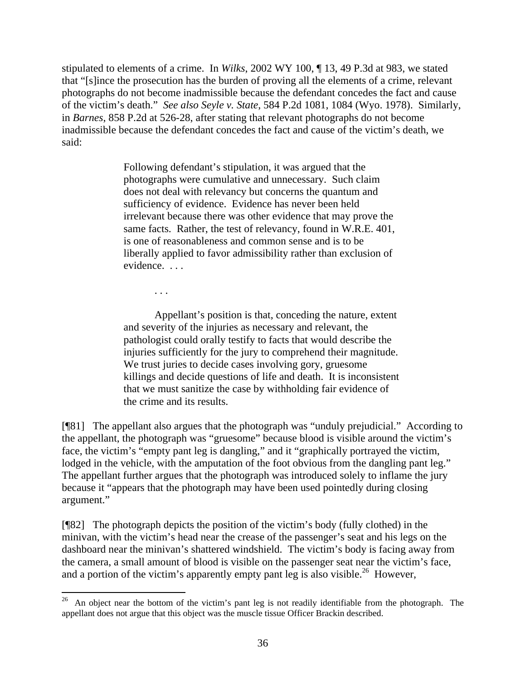stipulated to elements of a crime. In *Wilks*, 2002 WY 100, ¶ 13, 49 P.3d at 983, we stated that "[s]ince the prosecution has the burden of proving all the elements of a crime, relevant photographs do not become inadmissible because the defendant concedes the fact and cause of the victim's death." *See also Seyle v. State*, 584 P.2d 1081, 1084 (Wyo. 1978). Similarly, in *Barnes*, 858 P.2d at 526-28, after stating that relevant photographs do not become inadmissible because the defendant concedes the fact and cause of the victim's death, we said:

> Following defendant's stipulation, it was argued that the photographs were cumulative and unnecessary. Such claim does not deal with relevancy but concerns the quantum and sufficiency of evidence. Evidence has never been held irrelevant because there was other evidence that may prove the same facts. Rather, the test of relevancy, found in W.R.E. 401, is one of reasonableness and common sense and is to be liberally applied to favor admissibility rather than exclusion of evidence. . . .

> > . . .

Appellant's position is that, conceding the nature, extent and severity of the injuries as necessary and relevant, the pathologist could orally testify to facts that would describe the injuries sufficiently for the jury to comprehend their magnitude. We trust juries to decide cases involving gory, gruesome killings and decide questions of life and death. It is inconsistent that we must sanitize the case by withholding fair evidence of the crime and its results.

[¶81] The appellant also argues that the photograph was "unduly prejudicial." According to the appellant, the photograph was "gruesome" because blood is visible around the victim's face, the victim's "empty pant leg is dangling," and it "graphically portrayed the victim, lodged in the vehicle, with the amputation of the foot obvious from the dangling pant leg." The appellant further argues that the photograph was introduced solely to inflame the jury because it "appears that the photograph may have been used pointedly during closing argument."

[¶82] The photograph depicts the position of the victim's body (fully clothed) in the minivan, with the victim's head near the crease of the passenger's seat and his legs on the dashboard near the minivan's shattered windshield. The victim's body is facing away from the camera, a small amount of blood is visible on the passenger seat near the victim's face, and a portion of the victim's apparently empty pant leg is also visible.<sup>26</sup> However,

 $26\,$ 26 An object near the bottom of the victim's pant leg is not readily identifiable from the photograph. The appellant does not argue that this object was the muscle tissue Officer Brackin described.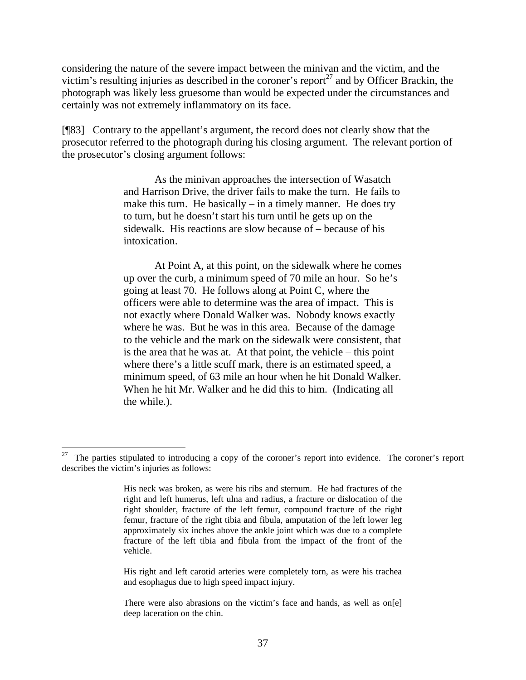considering the nature of the severe impact between the minivan and the victim, and the victim's resulting injuries as described in the coroner's report<sup>27</sup> and by Officer Brackin, the photograph was likely less gruesome than would be expected under the circumstances and certainly was not extremely inflammatory on its face.

[¶83] Contrary to the appellant's argument, the record does not clearly show that the prosecutor referred to the photograph during his closing argument. The relevant portion of the prosecutor's closing argument follows:

> As the minivan approaches the intersection of Wasatch and Harrison Drive, the driver fails to make the turn. He fails to make this turn. He basically  $-$  in a timely manner. He does try to turn, but he doesn't start his turn until he gets up on the sidewalk. His reactions are slow because of – because of his intoxication.

> At Point A, at this point, on the sidewalk where he comes up over the curb, a minimum speed of 70 mile an hour. So he's going at least 70. He follows along at Point C, where the officers were able to determine was the area of impact. This is not exactly where Donald Walker was. Nobody knows exactly where he was. But he was in this area. Because of the damage to the vehicle and the mark on the sidewalk were consistent, that is the area that he was at. At that point, the vehicle – this point where there's a little scuff mark, there is an estimated speed, a minimum speed, of 63 mile an hour when he hit Donald Walker. When he hit Mr. Walker and he did this to him. (Indicating all the while.).

His right and left carotid arteries were completely torn, as were his trachea and esophagus due to high speed impact injury.

<sup>&</sup>lt;sup>27</sup> The parties stipulated to introducing a copy of the coroner's report into evidence. The coroner's report describes the victim's injuries as follows:

His neck was broken, as were his ribs and sternum. He had fractures of the right and left humerus, left ulna and radius, a fracture or dislocation of the right shoulder, fracture of the left femur, compound fracture of the right femur, fracture of the right tibia and fibula, amputation of the left lower leg approximately six inches above the ankle joint which was due to a complete fracture of the left tibia and fibula from the impact of the front of the vehicle.

There were also abrasions on the victim's face and hands, as well as on[e] deep laceration on the chin.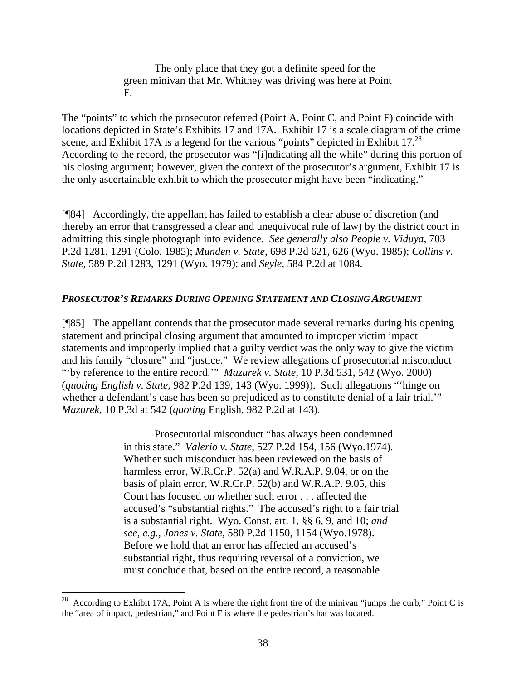The only place that they got a definite speed for the green minivan that Mr. Whitney was driving was here at Point F.

The "points" to which the prosecutor referred (Point A, Point C, and Point F) coincide with locations depicted in State's Exhibits 17 and 17A. Exhibit 17 is a scale diagram of the crime scene, and Exhibit 17A is a legend for the various "points" depicted in Exhibit 17. $^{28}$ According to the record, the prosecutor was "[i]ndicating all the while" during this portion of his closing argument; however, given the context of the prosecutor's argument, Exhibit 17 is the only ascertainable exhibit to which the prosecutor might have been "indicating."

[¶84] Accordingly, the appellant has failed to establish a clear abuse of discretion (and thereby an error that transgressed a clear and unequivocal rule of law) by the district court in admitting this single photograph into evidence. *See generally also People v. Viduya*, 703 P.2d 1281, 1291 (Colo. 1985); *Munden v. State*, 698 P.2d 621, 626 (Wyo. 1985); *Collins v. State*, 589 P.2d 1283, 1291 (Wyo. 1979); and *Seyle*, 584 P.2d at 1084.

### *PROSECUTOR'S REMARKS DURING OPENING STATEMENT AND CLOSING ARGUMENT*

[¶85] The appellant contends that the prosecutor made several remarks during his opening statement and principal closing argument that amounted to improper victim impact statements and improperly implied that a guilty verdict was the only way to give the victim and his family "closure" and "justice." We review allegations of prosecutorial misconduct "'by reference to the entire record.'" *Mazurek v. State*, 10 P.3d 531, 542 (Wyo. 2000) (*quoting English v. State*, 982 P.2d 139, 143 (Wyo. 1999)). Such allegations "'hinge on whether a defendant's case has been so prejudiced as to constitute denial of a fair trial." *Mazurek*, 10 P.3d at 542 (*quoting* English, 982 P.2d at 143)*.*

> Prosecutorial misconduct "has always been condemned in this state." *Valerio v. State*, 527 P.2d 154, 156 (Wyo.1974). Whether such misconduct has been reviewed on the basis of harmless error, W.R.Cr.P. 52(a) and W.R.A.P. 9.04, or on the basis of plain error, W.R.Cr.P. 52(b) and W.R.A.P. 9.05, this Court has focused on whether such error . . . affected the accused's "substantial rights." The accused's right to a fair trial is a substantial right. Wyo. Const. art. 1, §§ 6, 9, and 10; *and see, e.g., Jones v. State*, 580 P.2d 1150, 1154 (Wyo.1978). Before we hold that an error has affected an accused's substantial right, thus requiring reversal of a conviction, we must conclude that, based on the entire record, a reasonable

 $\overline{a}$ 

<sup>28</sup> According to Exhibit 17A, Point A is where the right front tire of the minivan "jumps the curb," Point C is the "area of impact, pedestrian," and Point F is where the pedestrian's hat was located.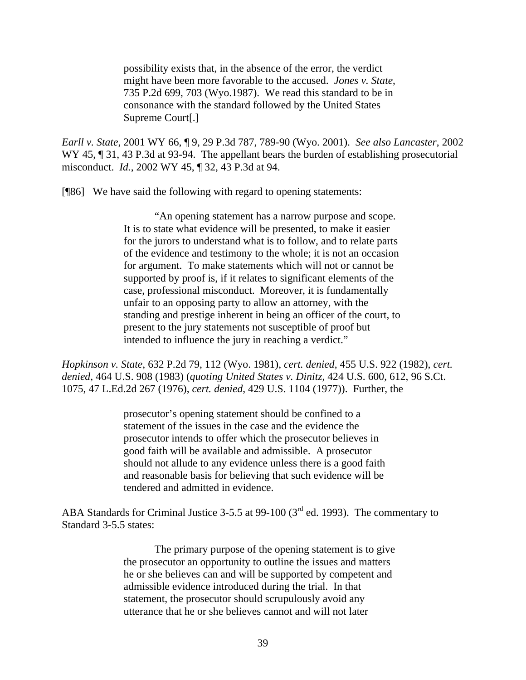possibility exists that, in the absence of the error, the verdict might have been more favorable to the accused. *Jones v. State*, 735 P.2d 699, 703 (Wyo.1987). We read this standard to be in consonance with the standard followed by the United States Supreme Court[.]

*Earll v. State*, 2001 WY 66, ¶ 9, 29 P.3d 787, 789-90 (Wyo. 2001). *See also Lancaster*, 2002 WY 45, ¶ 31, 43 P.3d at 93-94. The appellant bears the burden of establishing prosecutorial misconduct. *Id.*, 2002 WY 45, ¶ 32, 43 P.3d at 94.

[¶86] We have said the following with regard to opening statements:

"An opening statement has a narrow purpose and scope. It is to state what evidence will be presented, to make it easier for the jurors to understand what is to follow, and to relate parts of the evidence and testimony to the whole; it is not an occasion for argument. To make statements which will not or cannot be supported by proof is, if it relates to significant elements of the case, professional misconduct. Moreover, it is fundamentally unfair to an opposing party to allow an attorney, with the standing and prestige inherent in being an officer of the court, to present to the jury statements not susceptible of proof but intended to influence the jury in reaching a verdict."

*Hopkinson v. State*, 632 P.2d 79, 112 (Wyo. 1981), *cert. denied*, 455 U.S. 922 (1982), *cert. denied*, 464 U.S. 908 (1983) (*quoting United States v. Dinitz*, 424 U.S. 600, 612, 96 S.Ct. 1075, 47 L.Ed.2d 267 (1976), *cert. denied*, 429 U.S. 1104 (1977)). Further, the

> prosecutor's opening statement should be confined to a statement of the issues in the case and the evidence the prosecutor intends to offer which the prosecutor believes in good faith will be available and admissible. A prosecutor should not allude to any evidence unless there is a good faith and reasonable basis for believing that such evidence will be tendered and admitted in evidence.

ABA Standards for Criminal Justice 3-5.5 at 99-100 (3<sup>rd</sup> ed. 1993). The commentary to Standard 3-5.5 states:

> The primary purpose of the opening statement is to give the prosecutor an opportunity to outline the issues and matters he or she believes can and will be supported by competent and admissible evidence introduced during the trial. In that statement, the prosecutor should scrupulously avoid any utterance that he or she believes cannot and will not later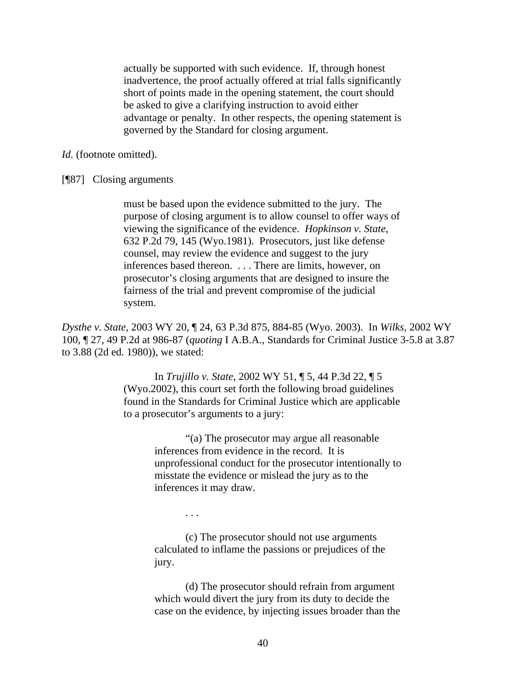actually be supported with such evidence. If, through honest inadvertence, the proof actually offered at trial falls significantly short of points made in the opening statement, the court should be asked to give a clarifying instruction to avoid either advantage or penalty. In other respects, the opening statement is governed by the Standard for closing argument.

*Id.* (footnote omitted).

[¶87] Closing arguments

must be based upon the evidence submitted to the jury. The purpose of closing argument is to allow counsel to offer ways of viewing the significance of the evidence. *Hopkinson v. State*, 632 P.2d 79, 145 (Wyo.1981). Prosecutors, just like defense counsel, may review the evidence and suggest to the jury inferences based thereon. . . . There are limits, however, on prosecutor's closing arguments that are designed to insure the fairness of the trial and prevent compromise of the judicial system.

*Dysthe v. State*, 2003 WY 20, ¶ 24, 63 P.3d 875, 884-85 (Wyo. 2003). In *Wilks*, 2002 WY 100, ¶ 27, 49 P.2d at 986-87 (*quoting* I A.B.A., Standards for Criminal Justice 3-5.8 at 3.87 to 3.88 (2d ed. 1980)), we stated:

> In *Trujillo v. State*, 2002 WY 51, ¶ 5, 44 P.3d 22, ¶ 5 (Wyo.2002), this court set forth the following broad guidelines found in the Standards for Criminal Justice which are applicable to a prosecutor's arguments to a jury:

> > "(a) The prosecutor may argue all reasonable inferences from evidence in the record. It is unprofessional conduct for the prosecutor intentionally to misstate the evidence or mislead the jury as to the inferences it may draw.

> > > . . .

(c) The prosecutor should not use arguments calculated to inflame the passions or prejudices of the jury.

(d) The prosecutor should refrain from argument which would divert the jury from its duty to decide the case on the evidence, by injecting issues broader than the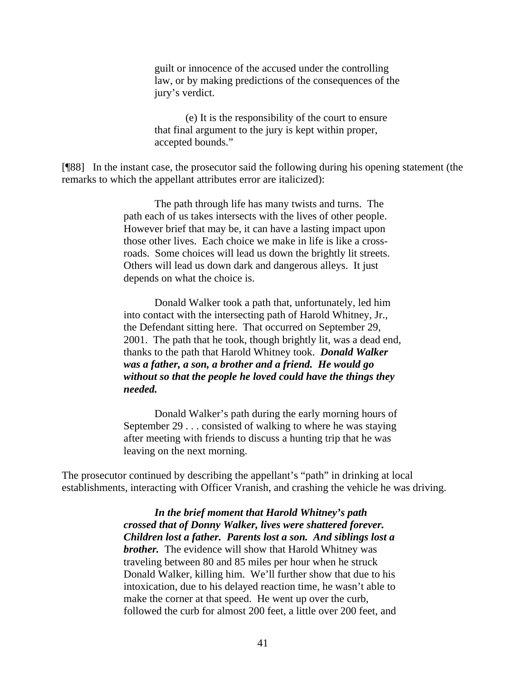guilt or innocence of the accused under the controlling law, or by making predictions of the consequences of the jury's verdict.

(e) It is the responsibility of the court to ensure that final argument to the jury is kept within proper, accepted bounds."

[¶88] In the instant case, the prosecutor said the following during his opening statement (the remarks to which the appellant attributes error are italicized):

> The path through life has many twists and turns. The path each of us takes intersects with the lives of other people. However brief that may be, it can have a lasting impact upon those other lives. Each choice we make in life is like a crossroads. Some choices will lead us down the brightly lit streets. Others will lead us down dark and dangerous alleys. It just depends on what the choice is.

Donald Walker took a path that, unfortunately, led him into contact with the intersecting path of Harold Whitney, Jr., the Defendant sitting here. That occurred on September 29, 2001. The path that he took, though brightly lit, was a dead end, thanks to the path that Harold Whitney took. *Donald Walker was a father, a son, a brother and a friend. He would go without so that the people he loved could have the things they needed.*

Donald Walker's path during the early morning hours of September 29 . . . consisted of walking to where he was staying after meeting with friends to discuss a hunting trip that he was leaving on the next morning.

The prosecutor continued by describing the appellant's "path" in drinking at local establishments, interacting with Officer Vranish, and crashing the vehicle he was driving.

> *In the brief moment that Harold Whitney's path crossed that of Donny Walker, lives were shattered forever. Children lost a father. Parents lost a son. And siblings lost a brother.* The evidence will show that Harold Whitney was traveling between 80 and 85 miles per hour when he struck Donald Walker, killing him. We'll further show that due to his intoxication, due to his delayed reaction time, he wasn't able to make the corner at that speed. He went up over the curb, followed the curb for almost 200 feet, a little over 200 feet, and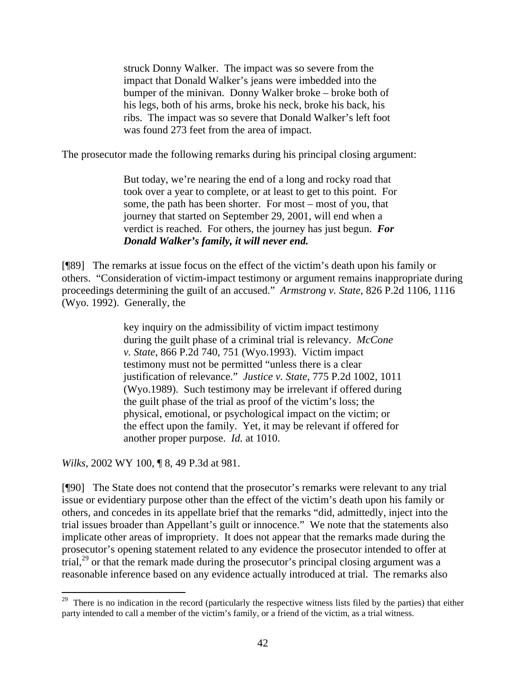struck Donny Walker. The impact was so severe from the impact that Donald Walker's jeans were imbedded into the bumper of the minivan. Donny Walker broke – broke both of his legs, both of his arms, broke his neck, broke his back, his ribs. The impact was so severe that Donald Walker's left foot was found 273 feet from the area of impact.

The prosecutor made the following remarks during his principal closing argument:

But today, we're nearing the end of a long and rocky road that took over a year to complete, or at least to get to this point. For some, the path has been shorter. For most – most of you, that journey that started on September 29, 2001, will end when a verdict is reached. For others, the journey has just begun. *For Donald Walker's family, it will never end.* 

[¶89] The remarks at issue focus on the effect of the victim's death upon his family or others. "Consideration of victim-impact testimony or argument remains inappropriate during proceedings determining the guilt of an accused." *Armstrong v. State*, 826 P.2d 1106, 1116 (Wyo. 1992). Generally, the

> key inquiry on the admissibility of victim impact testimony during the guilt phase of a criminal trial is relevancy. *McCone v. State*, 866 P.2d 740, 751 (Wyo.1993). Victim impact testimony must not be permitted "unless there is a clear justification of relevance." *Justice v. State*, 775 P.2d 1002, 1011 (Wyo.1989). Such testimony may be irrelevant if offered during the guilt phase of the trial as proof of the victim's loss; the physical, emotional, or psychological impact on the victim; or the effect upon the family. Yet, it may be relevant if offered for another proper purpose. *Id.* at 1010.

*Wilks*, 2002 WY 100, ¶ 8, 49 P.3d at 981.

[¶90] The State does not contend that the prosecutor's remarks were relevant to any trial issue or evidentiary purpose other than the effect of the victim's death upon his family or others, and concedes in its appellate brief that the remarks "did, admittedly, inject into the trial issues broader than Appellant's guilt or innocence." We note that the statements also implicate other areas of impropriety. It does not appear that the remarks made during the prosecutor's opening statement related to any evidence the prosecutor intended to offer at trial, $^{29}$  or that the remark made during the prosecutor's principal closing argument was a reasonable inference based on any evidence actually introduced at trial. The remarks also

<sup>&</sup>lt;sup>29</sup> There is no indication in the record (particularly the respective witness lists filed by the parties) that either party intended to call a member of the victim's family, or a friend of the victim, as a trial witness.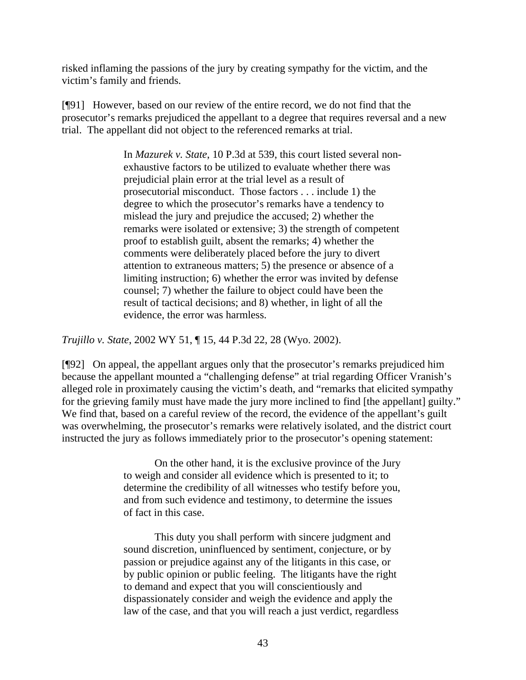risked inflaming the passions of the jury by creating sympathy for the victim, and the victim's family and friends.

[¶91] However, based on our review of the entire record, we do not find that the prosecutor's remarks prejudiced the appellant to a degree that requires reversal and a new trial. The appellant did not object to the referenced remarks at trial.

> In *Mazurek v. State*, 10 P.3d at 539, this court listed several nonexhaustive factors to be utilized to evaluate whether there was prejudicial plain error at the trial level as a result of prosecutorial misconduct. Those factors . . . include 1) the degree to which the prosecutor's remarks have a tendency to mislead the jury and prejudice the accused; 2) whether the remarks were isolated or extensive; 3) the strength of competent proof to establish guilt, absent the remarks; 4) whether the comments were deliberately placed before the jury to divert attention to extraneous matters; 5) the presence or absence of a limiting instruction; 6) whether the error was invited by defense counsel; 7) whether the failure to object could have been the result of tactical decisions; and 8) whether, in light of all the evidence, the error was harmless.

*Trujillo v. State*, 2002 WY 51, ¶ 15, 44 P.3d 22, 28 (Wyo. 2002).

[¶92] On appeal, the appellant argues only that the prosecutor's remarks prejudiced him because the appellant mounted a "challenging defense" at trial regarding Officer Vranish's alleged role in proximately causing the victim's death, and "remarks that elicited sympathy for the grieving family must have made the jury more inclined to find [the appellant] guilty." We find that, based on a careful review of the record, the evidence of the appellant's guilt was overwhelming, the prosecutor's remarks were relatively isolated, and the district court instructed the jury as follows immediately prior to the prosecutor's opening statement:

> On the other hand, it is the exclusive province of the Jury to weigh and consider all evidence which is presented to it; to determine the credibility of all witnesses who testify before you, and from such evidence and testimony, to determine the issues of fact in this case.

This duty you shall perform with sincere judgment and sound discretion, uninfluenced by sentiment, conjecture, or by passion or prejudice against any of the litigants in this case, or by public opinion or public feeling. The litigants have the right to demand and expect that you will conscientiously and dispassionately consider and weigh the evidence and apply the law of the case, and that you will reach a just verdict, regardless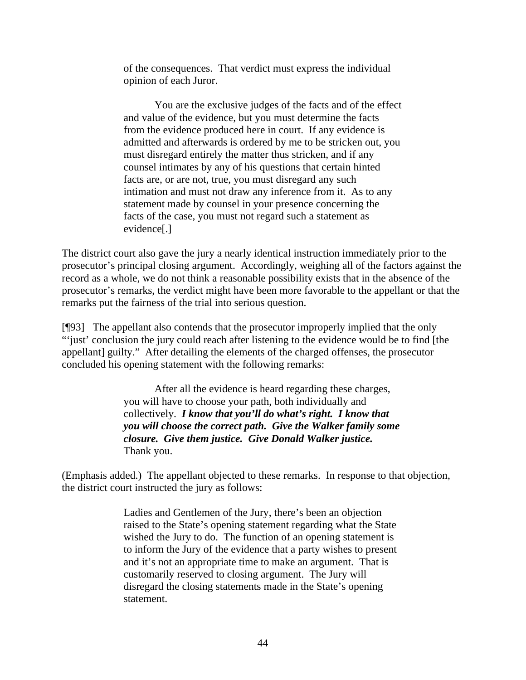of the consequences. That verdict must express the individual opinion of each Juror.

You are the exclusive judges of the facts and of the effect and value of the evidence, but you must determine the facts from the evidence produced here in court. If any evidence is admitted and afterwards is ordered by me to be stricken out, you must disregard entirely the matter thus stricken, and if any counsel intimates by any of his questions that certain hinted facts are, or are not, true, you must disregard any such intimation and must not draw any inference from it. As to any statement made by counsel in your presence concerning the facts of the case, you must not regard such a statement as evidence[.]

The district court also gave the jury a nearly identical instruction immediately prior to the prosecutor's principal closing argument. Accordingly, weighing all of the factors against the record as a whole, we do not think a reasonable possibility exists that in the absence of the prosecutor's remarks, the verdict might have been more favorable to the appellant or that the remarks put the fairness of the trial into serious question.

[¶93] The appellant also contends that the prosecutor improperly implied that the only "'just' conclusion the jury could reach after listening to the evidence would be to find [the appellant] guilty." After detailing the elements of the charged offenses, the prosecutor concluded his opening statement with the following remarks:

> After all the evidence is heard regarding these charges, you will have to choose your path, both individually and collectively. *I know that you'll do what's right. I know that you will choose the correct path. Give the Walker family some closure. Give them justice. Give Donald Walker justice.* Thank you.

(Emphasis added.) The appellant objected to these remarks. In response to that objection, the district court instructed the jury as follows:

> Ladies and Gentlemen of the Jury, there's been an objection raised to the State's opening statement regarding what the State wished the Jury to do. The function of an opening statement is to inform the Jury of the evidence that a party wishes to present and it's not an appropriate time to make an argument. That is customarily reserved to closing argument. The Jury will disregard the closing statements made in the State's opening statement.